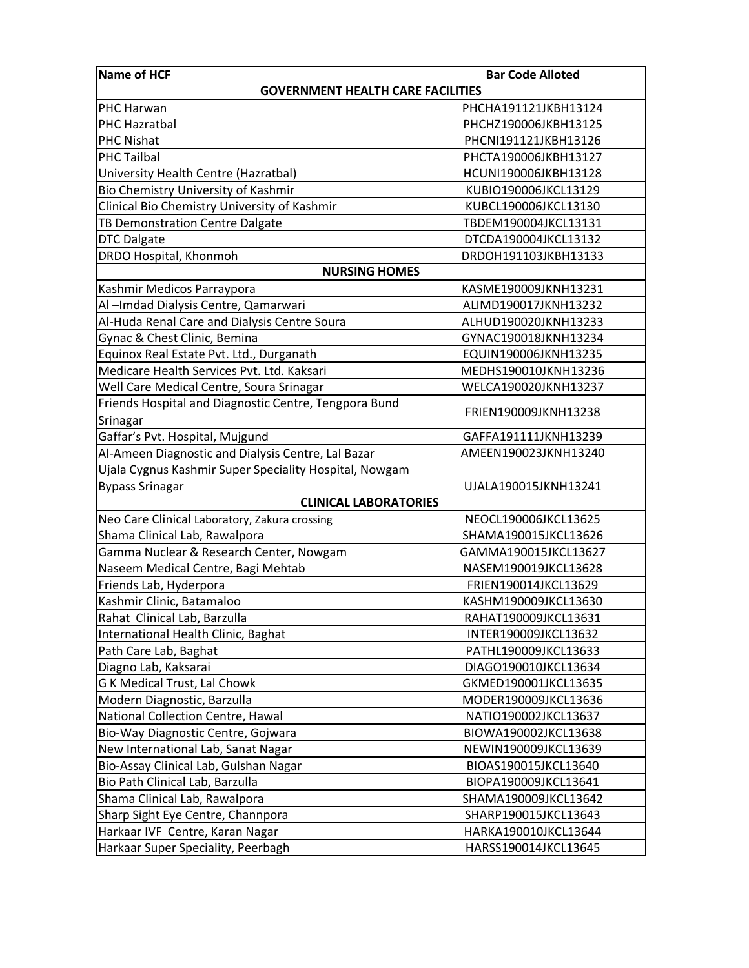| <b>Name of HCF</b>                                     | <b>Bar Code Alloted</b> |
|--------------------------------------------------------|-------------------------|
| <b>GOVERNMENT HEALTH CARE FACILITIES</b>               |                         |
| <b>PHC Harwan</b>                                      | PHCHA191121JKBH13124    |
| PHC Hazratbal                                          | PHCHZ190006JKBH13125    |
| <b>PHC Nishat</b>                                      | PHCNI191121JKBH13126    |
| <b>PHC Tailbal</b>                                     | PHCTA190006JKBH13127    |
| University Health Centre (Hazratbal)                   | HCUNI190006JKBH13128    |
| Bio Chemistry University of Kashmir                    | KUBIO190006JKCL13129    |
| Clinical Bio Chemistry University of Kashmir           | KUBCL190006JKCL13130    |
| TB Demonstration Centre Dalgate                        | TBDEM190004JKCL13131    |
| <b>DTC Dalgate</b>                                     | DTCDA190004JKCL13132    |
| DRDO Hospital, Khonmoh                                 | DRDOH191103JKBH13133    |
| <b>NURSING HOMES</b>                                   |                         |
| Kashmir Medicos Parraypora                             | KASME190009JKNH13231    |
| Al-Imdad Dialysis Centre, Qamarwari                    | ALIMD190017JKNH13232    |
| Al-Huda Renal Care and Dialysis Centre Soura           | ALHUD190020JKNH13233    |
| Gynac & Chest Clinic, Bemina                           | GYNAC190018JKNH13234    |
| Equinox Real Estate Pvt. Ltd., Durganath               | EQUIN190006JKNH13235    |
| Medicare Health Services Pvt. Ltd. Kaksari             | MEDHS190010JKNH13236    |
| Well Care Medical Centre, Soura Srinagar               | WELCA190020JKNH13237    |
| Friends Hospital and Diagnostic Centre, Tengpora Bund  |                         |
| Srinagar                                               | FRIEN190009JKNH13238    |
| Gaffar's Pvt. Hospital, Mujgund                        | GAFFA191111JKNH13239    |
| Al-Ameen Diagnostic and Dialysis Centre, Lal Bazar     | AMEEN190023JKNH13240    |
| Ujala Cygnus Kashmir Super Speciality Hospital, Nowgam |                         |
| <b>Bypass Srinagar</b>                                 | UJALA190015JKNH13241    |
| <b>CLINICAL LABORATORIES</b>                           |                         |
| Neo Care Clinical Laboratory, Zakura crossing          | NEOCL190006JKCL13625    |
| Shama Clinical Lab, Rawalpora                          | SHAMA190015JKCL13626    |
| Gamma Nuclear & Research Center, Nowgam                | GAMMA190015JKCL13627    |
| Naseem Medical Centre, Bagi Mehtab                     | NASEM190019JKCL13628    |
| Friends Lab, Hyderpora                                 | FRIEN190014JKCL13629    |
| Kashmir Clinic, Batamaloo                              | KASHM190009JKCL13630    |
| Rahat Clinical Lab, Barzulla                           | RAHAT190009JKCL13631    |
| International Health Clinic, Baghat                    | INTER190009JKCL13632    |
| Path Care Lab, Baghat                                  | PATHL190009JKCL13633    |
| Diagno Lab, Kaksarai                                   | DIAGO190010JKCL13634    |
| G K Medical Trust, Lal Chowk                           | GKMED190001JKCL13635    |
| Modern Diagnostic, Barzulla                            | MODER190009JKCL13636    |
| National Collection Centre, Hawal                      | NATIO190002JKCL13637    |
| Bio-Way Diagnostic Centre, Gojwara                     | BIOWA190002JKCL13638    |
| New International Lab, Sanat Nagar                     | NEWIN190009JKCL13639    |
| Bio-Assay Clinical Lab, Gulshan Nagar                  | BIOAS190015JKCL13640    |
| Bio Path Clinical Lab, Barzulla                        | BIOPA190009JKCL13641    |
| Shama Clinical Lab, Rawalpora                          | SHAMA190009JKCL13642    |
| Sharp Sight Eye Centre, Channpora                      | SHARP190015JKCL13643    |
| Harkaar IVF Centre, Karan Nagar                        | HARKA190010JKCL13644    |
| Harkaar Super Speciality, Peerbagh                     | HARSS190014JKCL13645    |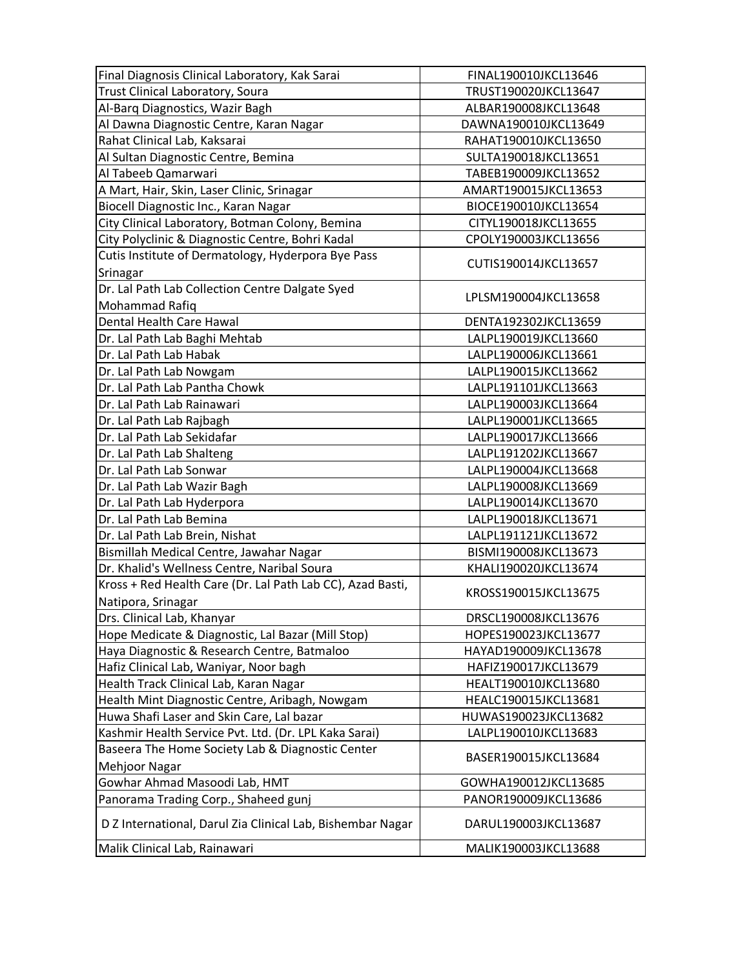| Final Diagnosis Clinical Laboratory, Kak Sarai             | FINAL190010JKCL13646 |
|------------------------------------------------------------|----------------------|
| Trust Clinical Laboratory, Soura                           | TRUST190020JKCL13647 |
| Al-Barq Diagnostics, Wazir Bagh                            | ALBAR190008JKCL13648 |
| Al Dawna Diagnostic Centre, Karan Nagar                    | DAWNA190010JKCL13649 |
| Rahat Clinical Lab, Kaksarai                               | RAHAT190010JKCL13650 |
| Al Sultan Diagnostic Centre, Bemina                        | SULTA190018JKCL13651 |
| Al Tabeeb Qamarwari                                        | TABEB190009JKCL13652 |
| A Mart, Hair, Skin, Laser Clinic, Srinagar                 | AMART190015JKCL13653 |
| Biocell Diagnostic Inc., Karan Nagar                       | BIOCE190010JKCL13654 |
| City Clinical Laboratory, Botman Colony, Bemina            | CITYL190018JKCL13655 |
| City Polyclinic & Diagnostic Centre, Bohri Kadal           | CPOLY190003JKCL13656 |
| Cutis Institute of Dermatology, Hyderpora Bye Pass         |                      |
| Srinagar                                                   | CUTIS190014JKCL13657 |
| Dr. Lal Path Lab Collection Centre Dalgate Syed            |                      |
| Mohammad Rafiq                                             | LPLSM190004JKCL13658 |
| Dental Health Care Hawal                                   | DENTA192302JKCL13659 |
| Dr. Lal Path Lab Baghi Mehtab                              | LALPL190019JKCL13660 |
| Dr. Lal Path Lab Habak                                     | LALPL190006JKCL13661 |
|                                                            | LALPL190015JKCL13662 |
| Dr. Lal Path Lab Nowgam<br>Dr. Lal Path Lab Pantha Chowk   | LALPL191101JKCL13663 |
|                                                            |                      |
| Dr. Lal Path Lab Rainawari                                 | LALPL190003JKCL13664 |
| Dr. Lal Path Lab Rajbagh                                   | LALPL190001JKCL13665 |
| Dr. Lal Path Lab Sekidafar                                 | LALPL190017JKCL13666 |
| Dr. Lal Path Lab Shalteng                                  | LALPL191202JKCL13667 |
| Dr. Lal Path Lab Sonwar                                    | LALPL190004JKCL13668 |
| Dr. Lal Path Lab Wazir Bagh                                | LALPL190008JKCL13669 |
| Dr. Lal Path Lab Hyderpora                                 | LALPL190014JKCL13670 |
| Dr. Lal Path Lab Bemina                                    | LALPL190018JKCL13671 |
| Dr. Lal Path Lab Brein, Nishat                             | LALPL191121JKCL13672 |
| Bismillah Medical Centre, Jawahar Nagar                    | BISMI190008JKCL13673 |
| Dr. Khalid's Wellness Centre, Naribal Soura                | KHALI190020JKCL13674 |
| Kross + Red Health Care (Dr. Lal Path Lab CC), Azad Basti, | KROSS190015JKCL13675 |
| Natipora, Srinagar                                         |                      |
| Drs. Clinical Lab, Khanyar                                 | DRSCL190008JKCL13676 |
| Hope Medicate & Diagnostic, Lal Bazar (Mill Stop)          | HOPES190023JKCL13677 |
| Haya Diagnostic & Research Centre, Batmaloo                | HAYAD190009JKCL13678 |
| Hafiz Clinical Lab, Waniyar, Noor bagh                     | HAFIZ190017JKCL13679 |
| Health Track Clinical Lab, Karan Nagar                     | HEALT190010JKCL13680 |
| Health Mint Diagnostic Centre, Aribagh, Nowgam             | HEALC190015JKCL13681 |
| Huwa Shafi Laser and Skin Care, Lal bazar                  | HUWAS190023JKCL13682 |
| Kashmir Health Service Pvt. Ltd. (Dr. LPL Kaka Sarai)      | LALPL190010JKCL13683 |
| Baseera The Home Society Lab & Diagnostic Center           |                      |
| Mehjoor Nagar                                              | BASER190015JKCL13684 |
| Gowhar Ahmad Masoodi Lab, HMT                              | GOWHA190012JKCL13685 |
| Panorama Trading Corp., Shaheed gunj                       | PANOR190009JKCL13686 |
| D Z International, Darul Zia Clinical Lab, Bishembar Nagar | DARUL190003JKCL13687 |
| Malik Clinical Lab, Rainawari                              | MALIK190003JKCL13688 |
|                                                            |                      |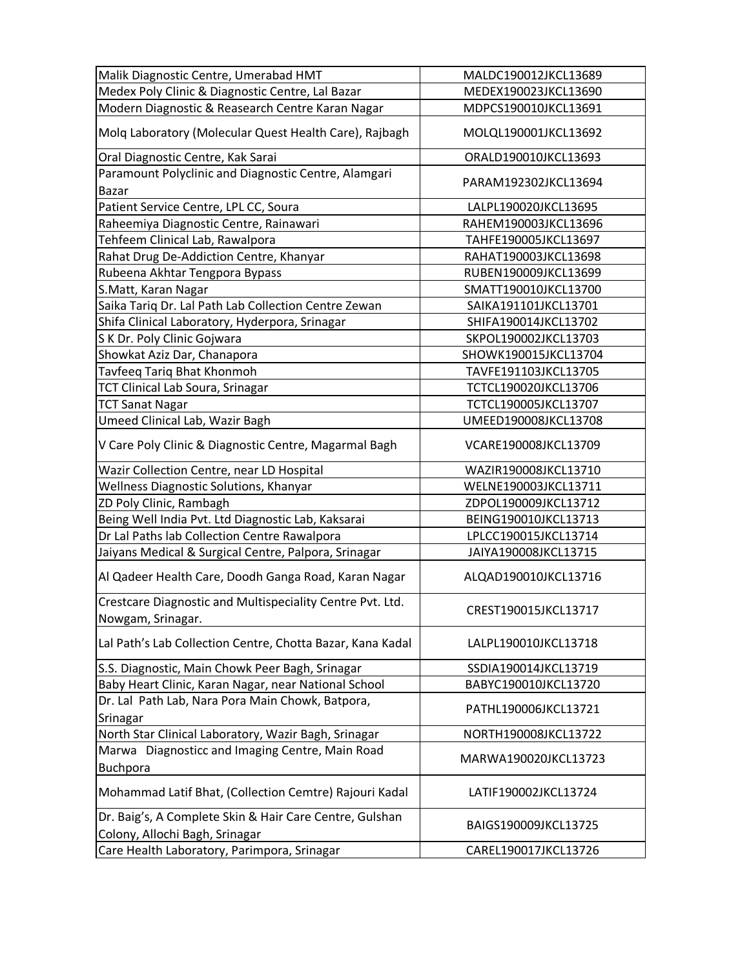| Malik Diagnostic Centre, Umerabad HMT                                                     | MALDC190012JKCL13689 |
|-------------------------------------------------------------------------------------------|----------------------|
| Medex Poly Clinic & Diagnostic Centre, Lal Bazar                                          | MEDEX190023JKCL13690 |
| Modern Diagnostic & Reasearch Centre Karan Nagar                                          | MDPCS190010JKCL13691 |
| Molq Laboratory (Molecular Quest Health Care), Rajbagh                                    | MOLQL190001JKCL13692 |
| Oral Diagnostic Centre, Kak Sarai                                                         | ORALD190010JKCL13693 |
| Paramount Polyclinic and Diagnostic Centre, Alamgari<br><b>Bazar</b>                      | PARAM192302JKCL13694 |
| Patient Service Centre, LPL CC, Soura                                                     | LALPL190020JKCL13695 |
| Raheemiya Diagnostic Centre, Rainawari                                                    | RAHEM190003JKCL13696 |
| Tehfeem Clinical Lab, Rawalpora                                                           | TAHFE190005JKCL13697 |
| Rahat Drug De-Addiction Centre, Khanyar                                                   | RAHAT190003JKCL13698 |
| Rubeena Akhtar Tengpora Bypass                                                            | RUBEN190009JKCL13699 |
| S.Matt, Karan Nagar                                                                       | SMATT190010JKCL13700 |
| Saika Tariq Dr. Lal Path Lab Collection Centre Zewan                                      | SAIKA191101JKCL13701 |
| Shifa Clinical Laboratory, Hyderpora, Srinagar                                            | SHIFA190014JKCL13702 |
| S K Dr. Poly Clinic Gojwara                                                               | SKPOL190002JKCL13703 |
| Showkat Aziz Dar, Chanapora                                                               | SHOWK190015JKCL13704 |
| Tavfeeq Tariq Bhat Khonmoh                                                                | TAVFE191103JKCL13705 |
| <b>TCT Clinical Lab Soura, Srinagar</b>                                                   | TCTCL190020JKCL13706 |
| <b>TCT Sanat Nagar</b>                                                                    | TCTCL190005JKCL13707 |
| Umeed Clinical Lab, Wazir Bagh                                                            | UMEED190008JKCL13708 |
| V Care Poly Clinic & Diagnostic Centre, Magarmal Bagh                                     | VCARE190008JKCL13709 |
| Wazir Collection Centre, near LD Hospital                                                 | WAZIR190008JKCL13710 |
| Wellness Diagnostic Solutions, Khanyar                                                    | WELNE190003JKCL13711 |
| ZD Poly Clinic, Rambagh                                                                   | ZDPOL190009JKCL13712 |
| Being Well India Pvt. Ltd Diagnostic Lab, Kaksarai                                        | BEING190010JKCL13713 |
| Dr Lal Paths lab Collection Centre Rawalpora                                              | LPLCC190015JKCL13714 |
| Jaiyans Medical & Surgical Centre, Palpora, Srinagar                                      | JAIYA190008JKCL13715 |
| Al Qadeer Health Care, Doodh Ganga Road, Karan Nagar                                      | ALQAD190010JKCL13716 |
| Crestcare Diagnostic and Multispeciality Centre Pvt. Ltd.<br>Nowgam, Srinagar.            | CREST190015JKCL13717 |
| Lal Path's Lab Collection Centre, Chotta Bazar, Kana Kadal                                | LALPL190010JKCL13718 |
| S.S. Diagnostic, Main Chowk Peer Bagh, Srinagar                                           | SSDIA190014JKCL13719 |
| Baby Heart Clinic, Karan Nagar, near National School                                      | BABYC190010JKCL13720 |
| Dr. Lal Path Lab, Nara Pora Main Chowk, Batpora,                                          |                      |
| Srinagar                                                                                  | PATHL190006JKCL13721 |
| North Star Clinical Laboratory, Wazir Bagh, Srinagar                                      | NORTH190008JKCL13722 |
| Marwa Diagnosticc and Imaging Centre, Main Road<br>Buchpora                               | MARWA190020JKCL13723 |
| Mohammad Latif Bhat, (Collection Cemtre) Rajouri Kadal                                    | LATIF190002JKCL13724 |
| Dr. Baig's, A Complete Skin & Hair Care Centre, Gulshan<br>Colony, Allochi Bagh, Srinagar | BAIGS190009JKCL13725 |
| Care Health Laboratory, Parimpora, Srinagar                                               | CAREL190017JKCL13726 |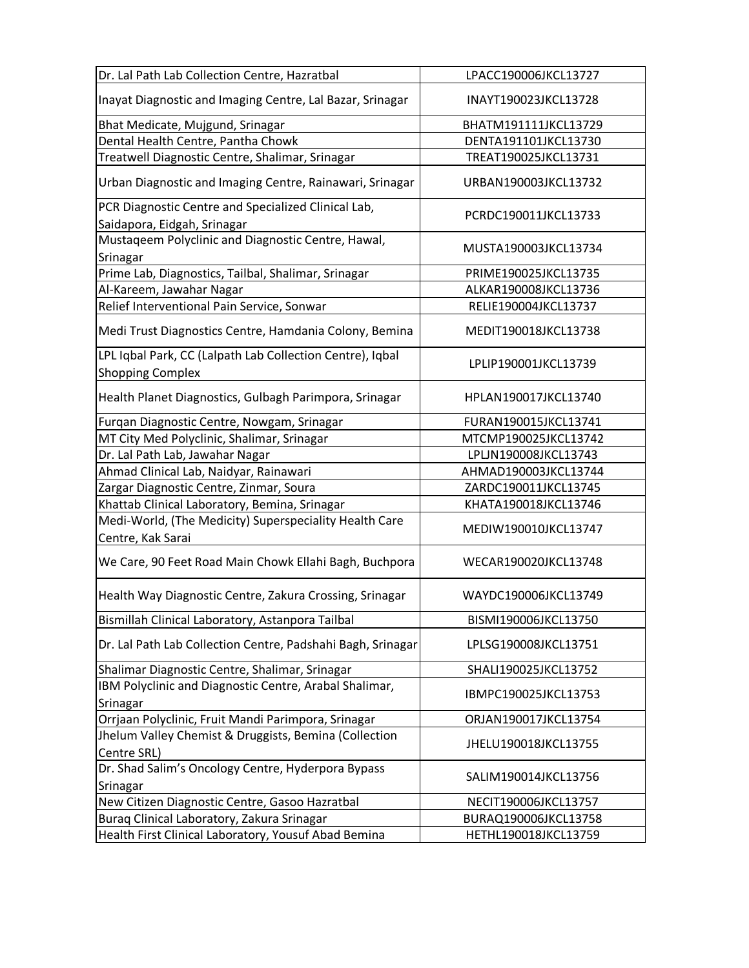| LPACC190006JKCL13727                                                                |
|-------------------------------------------------------------------------------------|
| INAYT190023JKCL13728                                                                |
| BHATM191111JKCL13729                                                                |
| DENTA191101JKCL13730                                                                |
| TREAT190025JKCL13731                                                                |
| URBAN190003JKCL13732                                                                |
| PCRDC190011JKCL13733                                                                |
| MUSTA190003JKCL13734                                                                |
| PRIME190025JKCL13735                                                                |
| ALKAR190008JKCL13736                                                                |
| RELIE190004JKCL13737                                                                |
| MEDIT190018JKCL13738                                                                |
| LPLIP190001JKCL13739                                                                |
| HPLAN190017JKCL13740                                                                |
| FURAN190015JKCL13741                                                                |
| MTCMP190025JKCL13742                                                                |
| LPLJN190008JKCL13743                                                                |
| AHMAD190003JKCL13744                                                                |
| ZARDC190011JKCL13745                                                                |
| KHATA190018JKCL13746                                                                |
| MEDIW190010JKCL13747                                                                |
| WECAR190020JKCL13748                                                                |
| WAYDC190006JKCL13749                                                                |
| BISMI190006JKCL13750                                                                |
| Dr. Lal Path Lab Collection Centre, Padshahi Bagh, Srinagar<br>LPLSG190008JKCL13751 |
| SHALI190025JKCL13752                                                                |
| IBMPC190025JKCL13753                                                                |
| ORJAN190017JKCL13754                                                                |
| JHELU190018JKCL13755                                                                |
| SALIM190014JKCL13756                                                                |
| NECIT190006JKCL13757                                                                |
| BURAQ190006JKCL13758                                                                |
| HETHL190018JKCL13759                                                                |
|                                                                                     |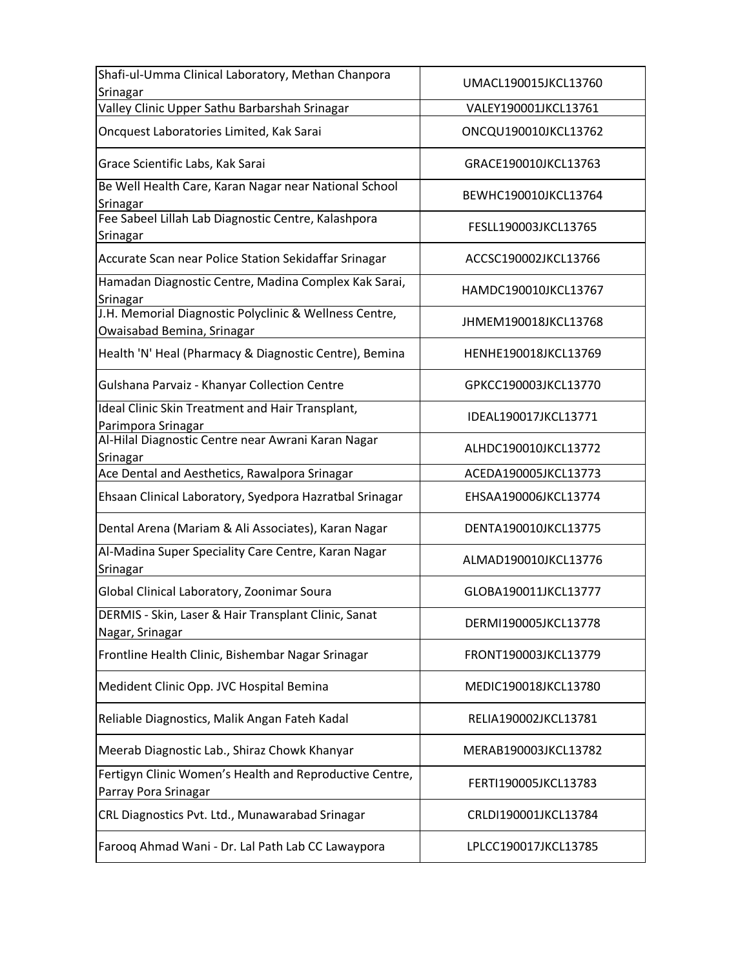| Shafi-ul-Umma Clinical Laboratory, Methan Chanpora<br>Srinagar                       | UMACL190015JKCL13760 |
|--------------------------------------------------------------------------------------|----------------------|
| Valley Clinic Upper Sathu Barbarshah Srinagar                                        | VALEY190001JKCL13761 |
| Oncquest Laboratories Limited, Kak Sarai                                             | ONCQU190010JKCL13762 |
| Grace Scientific Labs, Kak Sarai                                                     | GRACE190010JKCL13763 |
| Be Well Health Care, Karan Nagar near National School<br>Srinagar                    | BEWHC190010JKCL13764 |
| Fee Sabeel Lillah Lab Diagnostic Centre, Kalashpora<br>Srinagar                      | FESLL190003JKCL13765 |
| Accurate Scan near Police Station Sekidaffar Srinagar                                | ACCSC190002JKCL13766 |
| Hamadan Diagnostic Centre, Madina Complex Kak Sarai,<br>Srinagar                     | HAMDC190010JKCL13767 |
| J.H. Memorial Diagnostic Polyclinic & Wellness Centre,<br>Owaisabad Bemina, Srinagar | JHMEM190018JKCL13768 |
| Health 'N' Heal (Pharmacy & Diagnostic Centre), Bemina                               | HENHE190018JKCL13769 |
| Gulshana Parvaiz - Khanyar Collection Centre                                         | GPKCC190003JKCL13770 |
| Ideal Clinic Skin Treatment and Hair Transplant,<br>Parimpora Srinagar               | IDEAL190017JKCL13771 |
| Al-Hilal Diagnostic Centre near Awrani Karan Nagar<br>Srinagar                       | ALHDC190010JKCL13772 |
| Ace Dental and Aesthetics, Rawalpora Srinagar                                        | ACEDA190005JKCL13773 |
| Ehsaan Clinical Laboratory, Syedpora Hazratbal Srinagar                              | EHSAA190006JKCL13774 |
| Dental Arena (Mariam & Ali Associates), Karan Nagar                                  | DENTA190010JKCL13775 |
| Al-Madina Super Speciality Care Centre, Karan Nagar<br>Srinagar                      | ALMAD190010JKCL13776 |
| Global Clinical Laboratory, Zoonimar Soura                                           | GLOBA190011JKCL13777 |
| DERMIS - Skin, Laser & Hair Transplant Clinic, Sanat<br>Nagar, Srinagar              | DERMI190005JKCL13778 |
| Frontline Health Clinic, Bishembar Nagar Srinagar                                    | FRONT190003JKCL13779 |
| Medident Clinic Opp. JVC Hospital Bemina                                             | MEDIC190018JKCL13780 |
| Reliable Diagnostics, Malik Angan Fateh Kadal                                        | RELIA190002JKCL13781 |
| Meerab Diagnostic Lab., Shiraz Chowk Khanyar                                         | MERAB190003JKCL13782 |
| Fertigyn Clinic Women's Health and Reproductive Centre,<br>Parray Pora Srinagar      | FERTI190005JKCL13783 |
| CRL Diagnostics Pvt. Ltd., Munawarabad Srinagar                                      | CRLDI190001JKCL13784 |
| Farooq Ahmad Wani - Dr. Lal Path Lab CC Lawaypora                                    | LPLCC190017JKCL13785 |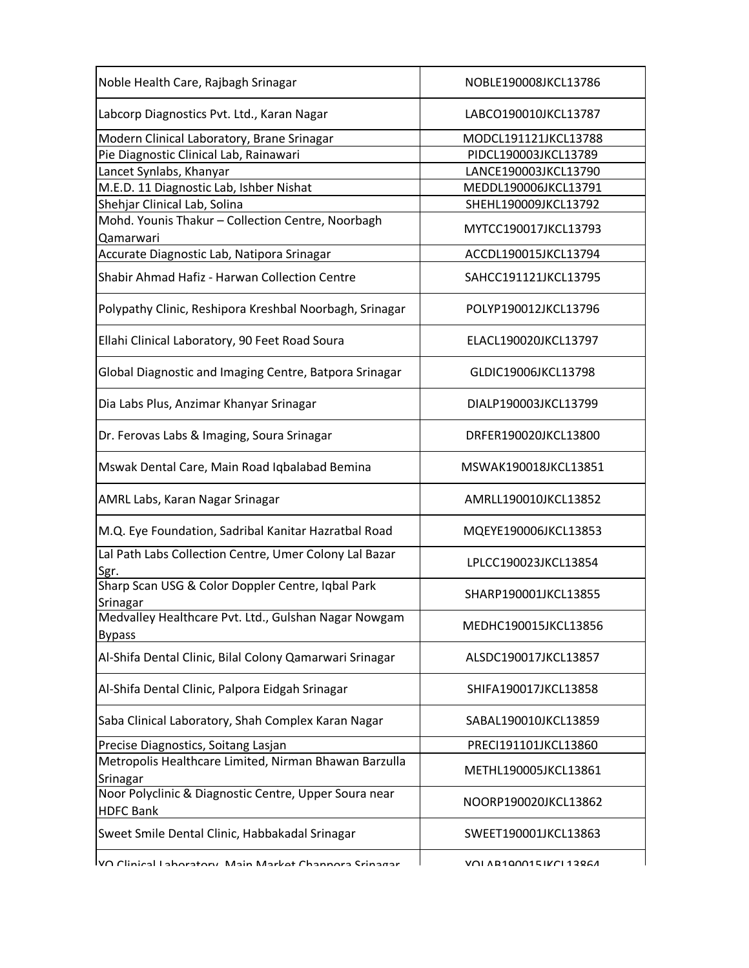| Noble Health Care, Rajbagh Srinagar                                       | NOBLE190008JKCL13786    |
|---------------------------------------------------------------------------|-------------------------|
| Labcorp Diagnostics Pvt. Ltd., Karan Nagar                                | LABCO190010JKCL13787    |
| Modern Clinical Laboratory, Brane Srinagar                                | MODCL191121JKCL13788    |
| Pie Diagnostic Clinical Lab, Rainawari                                    | PIDCL190003JKCL13789    |
| Lancet Synlabs, Khanyar                                                   | LANCE190003JKCL13790    |
| M.E.D. 11 Diagnostic Lab, Ishber Nishat                                   | MEDDL190006JKCL13791    |
| Shehjar Clinical Lab, Solina                                              | SHEHL190009JKCL13792    |
| Mohd. Younis Thakur - Collection Centre, Noorbagh                         |                         |
| Qamarwari                                                                 | MYTCC190017JKCL13793    |
| Accurate Diagnostic Lab, Natipora Srinagar                                | ACCDL190015JKCL13794    |
| Shabir Ahmad Hafiz - Harwan Collection Centre                             | SAHCC191121JKCL13795    |
| Polypathy Clinic, Reshipora Kreshbal Noorbagh, Srinagar                   | POLYP190012JKCL13796    |
| Ellahi Clinical Laboratory, 90 Feet Road Soura                            | ELACL190020JKCL13797    |
| Global Diagnostic and Imaging Centre, Batpora Srinagar                    | GLDIC19006JKCL13798     |
| Dia Labs Plus, Anzimar Khanyar Srinagar                                   | DIALP190003JKCL13799    |
| Dr. Ferovas Labs & Imaging, Soura Srinagar                                | DRFER190020JKCL13800    |
| Mswak Dental Care, Main Road Iqbalabad Bemina                             | MSWAK190018JKCL13851    |
| AMRL Labs, Karan Nagar Srinagar                                           | AMRLL190010JKCL13852    |
| M.Q. Eye Foundation, Sadribal Kanitar Hazratbal Road                      | MQEYE190006JKCL13853    |
| Lal Path Labs Collection Centre, Umer Colony Lal Bazar<br>Sgr.            | LPLCC190023JKCL13854    |
| Sharp Scan USG & Color Doppler Centre, Iqbal Park<br>Srinagar             | SHARP190001JKCL13855    |
| Medvalley Healthcare Pvt. Ltd., Gulshan Nagar Nowgam<br><b>Bypass</b>     | MEDHC190015JKCL13856    |
| Al-Shifa Dental Clinic, Bilal Colony Qamarwari Srinagar                   | ALSDC190017JKCL13857    |
| Al-Shifa Dental Clinic, Palpora Eidgah Srinagar                           | SHIFA190017JKCL13858    |
| Saba Clinical Laboratory, Shah Complex Karan Nagar                        | SABAL190010JKCL13859    |
| Precise Diagnostics, Soitang Lasjan                                       | PRECI191101JKCL13860    |
| Metropolis Healthcare Limited, Nirman Bhawan Barzulla                     | METHL190005JKCL13861    |
| Srinagar                                                                  |                         |
| Noor Polyclinic & Diagnostic Centre, Upper Soura near<br><b>HDFC Bank</b> | NOORP190020JKCL13862    |
| Sweet Smile Dental Clinic, Habbakadal Srinagar                            | SWEET190001JKCL13863    |
| IVA Clinical Laboratoru. Main Markat Channora Crinagar                    | VAI AR10AA15 IKAI 12961 |

 $\overline{\mathsf{V}}$ Q Clinical Laboratory, Main Market Channora Srinagar  $\overline{\mathsf{V}}$  VQLAB190015JKCL13964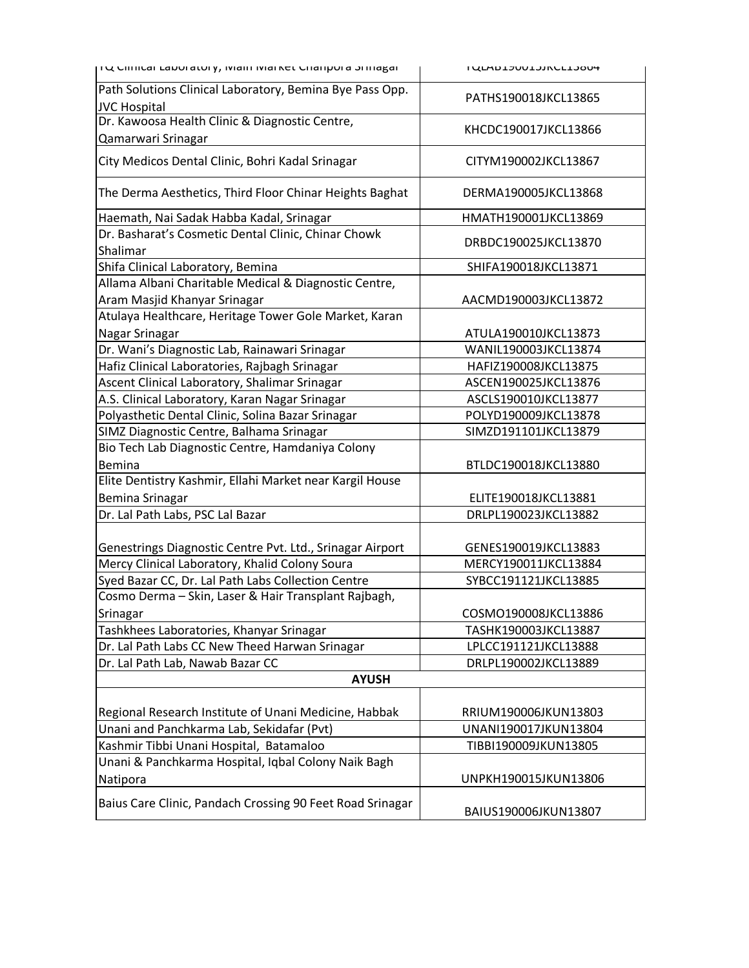| TU Cililical Laboratory, ividiri ividi Net Cildripora bririagal | <b>I ALWDTANNTYIVCTT30N+</b> |
|-----------------------------------------------------------------|------------------------------|
| Path Solutions Clinical Laboratory, Bemina Bye Pass Opp.        |                              |
| <b>JVC Hospital</b>                                             | PATHS190018JKCL13865         |
| Dr. Kawoosa Health Clinic & Diagnostic Centre,                  |                              |
| Qamarwari Srinagar                                              | KHCDC190017JKCL13866         |
| City Medicos Dental Clinic, Bohri Kadal Srinagar                | CITYM190002JKCL13867         |
| The Derma Aesthetics, Third Floor Chinar Heights Baghat         | DERMA190005JKCL13868         |
| Haemath, Nai Sadak Habba Kadal, Srinagar                        | HMATH190001JKCL13869         |
| Dr. Basharat's Cosmetic Dental Clinic, Chinar Chowk<br>Shalimar | DRBDC190025JKCL13870         |
| Shifa Clinical Laboratory, Bemina                               | SHIFA190018JKCL13871         |
| Allama Albani Charitable Medical & Diagnostic Centre,           |                              |
| Aram Masjid Khanyar Srinagar                                    | AACMD190003JKCL13872         |
| Atulaya Healthcare, Heritage Tower Gole Market, Karan           |                              |
| Nagar Srinagar                                                  | ATULA190010JKCL13873         |
| Dr. Wani's Diagnostic Lab, Rainawari Srinagar                   | WANIL190003JKCL13874         |
| Hafiz Clinical Laboratories, Rajbagh Srinagar                   | HAFIZ190008JKCL13875         |
| Ascent Clinical Laboratory, Shalimar Srinagar                   | ASCEN190025JKCL13876         |
| A.S. Clinical Laboratory, Karan Nagar Srinagar                  | ASCLS190010JKCL13877         |
| Polyasthetic Dental Clinic, Solina Bazar Srinagar               | POLYD190009JKCL13878         |
| SIMZ Diagnostic Centre, Balhama Srinagar                        | SIMZD191101JKCL13879         |
| Bio Tech Lab Diagnostic Centre, Hamdaniya Colony                |                              |
| Bemina                                                          | BTLDC190018JKCL13880         |
| Elite Dentistry Kashmir, Ellahi Market near Kargil House        |                              |
| Bemina Srinagar                                                 | ELITE190018JKCL13881         |
| Dr. Lal Path Labs, PSC Lal Bazar                                | DRLPL190023JKCL13882         |
|                                                                 |                              |
| Genestrings Diagnostic Centre Pvt. Ltd., Srinagar Airport       | GENES190019JKCL13883         |
| Mercy Clinical Laboratory, Khalid Colony Soura                  | MERCY190011JKCL13884         |
| Syed Bazar CC, Dr. Lal Path Labs Collection Centre              | SYBCC191121JKCL13885         |
| Cosmo Derma - Skin, Laser & Hair Transplant Rajbagh,            |                              |
| Srinagar                                                        | COSMO190008JKCL13886         |
| Tashkhees Laboratories, Khanyar Srinagar                        | TASHK190003JKCL13887         |
| Dr. Lal Path Labs CC New Theed Harwan Srinagar                  | LPLCC191121JKCL13888         |
| Dr. Lal Path Lab, Nawab Bazar CC                                | DRLPL190002JKCL13889         |
| <b>AYUSH</b>                                                    |                              |
|                                                                 |                              |
| Regional Research Institute of Unani Medicine, Habbak           | RRIUM190006JKUN13803         |
| Unani and Panchkarma Lab, Sekidafar (Pvt)                       | UNANI190017JKUN13804         |
| Kashmir Tibbi Unani Hospital, Batamaloo                         | TIBBI190009JKUN13805         |
| Unani & Panchkarma Hospital, Iqbal Colony Naik Bagh             |                              |
| Natipora                                                        | UNPKH190015JKUN13806         |
| Baius Care Clinic, Pandach Crossing 90 Feet Road Srinagar       | BAIUS190006JKUN13807         |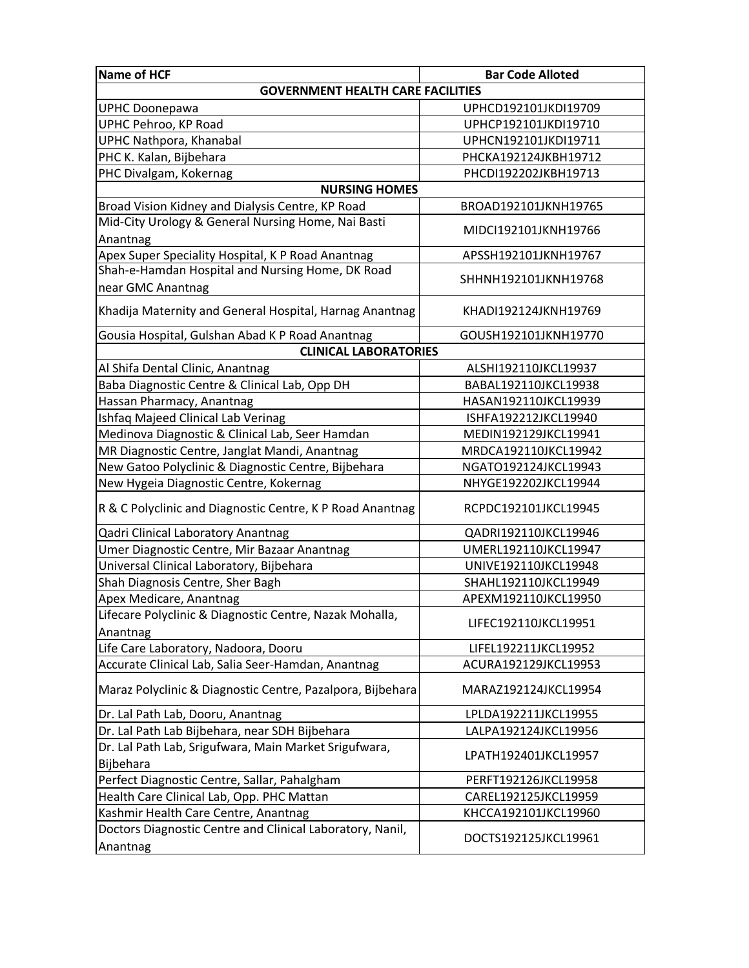| <b>Name of HCF</b>                                         | <b>Bar Code Alloted</b> |
|------------------------------------------------------------|-------------------------|
| <b>GOVERNMENT HEALTH CARE FACILITIES</b>                   |                         |
| <b>UPHC Doonepawa</b>                                      | UPHCD192101JKDI19709    |
| UPHC Pehroo, KP Road                                       | UPHCP192101JKDI19710    |
| UPHC Nathpora, Khanabal                                    | UPHCN192101JKDI19711    |
| PHC K. Kalan, Bijbehara                                    | PHCKA192124JKBH19712    |
| PHC Divalgam, Kokernag                                     | PHCDI192202JKBH19713    |
| <b>NURSING HOMES</b>                                       |                         |
| Broad Vision Kidney and Dialysis Centre, KP Road           | BROAD192101JKNH19765    |
| Mid-City Urology & General Nursing Home, Nai Basti         | MIDCI192101JKNH19766    |
| Anantnag                                                   |                         |
| Apex Super Speciality Hospital, K P Road Anantnag          | APSSH192101JKNH19767    |
| Shah-e-Hamdan Hospital and Nursing Home, DK Road           | SHHNH192101JKNH19768    |
| near GMC Anantnag                                          |                         |
| Khadija Maternity and General Hospital, Harnag Anantnag    | KHADI192124JKNH19769    |
| Gousia Hospital, Gulshan Abad K P Road Anantnag            | GOUSH192101JKNH19770    |
| <b>CLINICAL LABORATORIES</b>                               |                         |
| Al Shifa Dental Clinic, Anantnag                           | ALSHI192110JKCL19937    |
| Baba Diagnostic Centre & Clinical Lab, Opp DH              | BABAL192110JKCL19938    |
| Hassan Pharmacy, Anantnag                                  | HASAN192110JKCL19939    |
| Ishfaq Majeed Clinical Lab Verinag                         | ISHFA192212JKCL19940    |
| Medinova Diagnostic & Clinical Lab, Seer Hamdan            | MEDIN192129JKCL19941    |
| MR Diagnostic Centre, Janglat Mandi, Anantnag              | MRDCA192110JKCL19942    |
| New Gatoo Polyclinic & Diagnostic Centre, Bijbehara        | NGATO192124JKCL19943    |
| New Hygeia Diagnostic Centre, Kokernag                     | NHYGE192202JKCL19944    |
| R & C Polyclinic and Diagnostic Centre, K P Road Anantnag  | RCPDC192101JKCL19945    |
| Qadri Clinical Laboratory Anantnag                         | QADRI192110JKCL19946    |
| Umer Diagnostic Centre, Mir Bazaar Anantnag                | UMERL192110JKCL19947    |
| Universal Clinical Laboratory, Bijbehara                   | UNIVE192110JKCL19948    |
| Shah Diagnosis Centre, Sher Bagh                           | SHAHL192110JKCL19949    |
| Apex Medicare, Anantnag                                    | APEXM192110JKCL19950    |
| Lifecare Polyclinic & Diagnostic Centre, Nazak Mohalla,    |                         |
| Anantnag                                                   | LIFEC192110JKCL19951    |
| Life Care Laboratory, Nadoora, Dooru                       | LIFEL192211JKCL19952    |
| Accurate Clinical Lab, Salia Seer-Hamdan, Anantnag         | ACURA192129JKCL19953    |
| Maraz Polyclinic & Diagnostic Centre, Pazalpora, Bijbehara | MARAZ192124JKCL19954    |
| Dr. Lal Path Lab, Dooru, Anantnag                          | LPLDA192211JKCL19955    |
| Dr. Lal Path Lab Bijbehara, near SDH Bijbehara             | LALPA192124JKCL19956    |
| Dr. Lal Path Lab, Srigufwara, Main Market Srigufwara,      |                         |
| Bijbehara                                                  | LPATH192401JKCL19957    |
| Perfect Diagnostic Centre, Sallar, Pahalgham               | PERFT192126JKCL19958    |
| Health Care Clinical Lab, Opp. PHC Mattan                  | CAREL192125JKCL19959    |
| Kashmir Health Care Centre, Anantnag                       | KHCCA192101JKCL19960    |
| Doctors Diagnostic Centre and Clinical Laboratory, Nanil,  |                         |
| Anantnag                                                   | DOCTS192125JKCL19961    |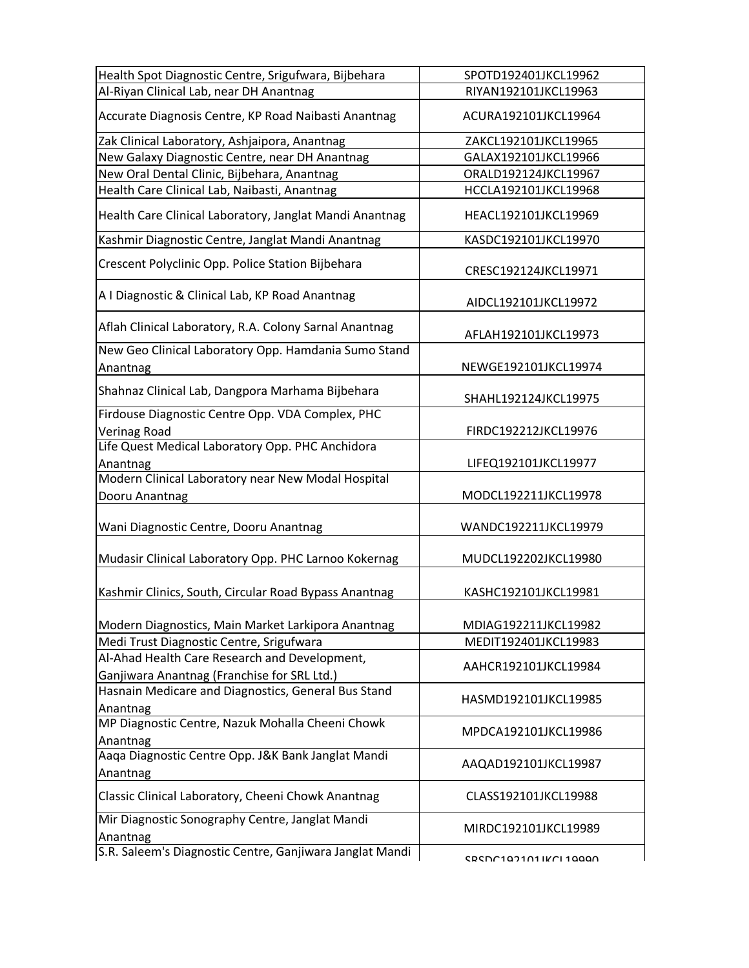| Health Spot Diagnostic Centre, Srigufwara, Bijbehara                 | SPOTD192401JKCL19962  |
|----------------------------------------------------------------------|-----------------------|
| Al-Riyan Clinical Lab, near DH Anantnag                              | RIYAN192101JKCL19963  |
| Accurate Diagnosis Centre, KP Road Naibasti Anantnag                 | ACURA192101JKCL19964  |
| Zak Clinical Laboratory, Ashjaipora, Anantnag                        | ZAKCL192101JKCL19965  |
| New Galaxy Diagnostic Centre, near DH Anantnag                       | GALAX192101JKCL19966  |
| New Oral Dental Clinic, Bijbehara, Anantnag                          | ORALD192124JKCL19967  |
| Health Care Clinical Lab, Naibasti, Anantnag                         | HCCLA192101JKCL19968  |
| Health Care Clinical Laboratory, Janglat Mandi Anantnag              | HEACL192101JKCL19969  |
| Kashmir Diagnostic Centre, Janglat Mandi Anantnag                    | KASDC192101JKCL19970  |
| Crescent Polyclinic Opp. Police Station Bijbehara                    | CRESC192124JKCL19971  |
| A I Diagnostic & Clinical Lab, KP Road Anantnag                      | AIDCL192101JKCL19972  |
| Aflah Clinical Laboratory, R.A. Colony Sarnal Anantnag               | AFLAH192101JKCL19973  |
| New Geo Clinical Laboratory Opp. Hamdania Sumo Stand<br>Anantnag     | NEWGE192101JKCL19974  |
| Shahnaz Clinical Lab, Dangpora Marhama Bijbehara                     | SHAHL192124JKCL19975  |
| Firdouse Diagnostic Centre Opp. VDA Complex, PHC<br>Verinag Road     | FIRDC192212JKCL19976  |
| Life Quest Medical Laboratory Opp. PHC Anchidora<br>Anantnag         | LIFEQ192101JKCL19977  |
| Modern Clinical Laboratory near New Modal Hospital<br>Dooru Anantnag | MODCL192211JKCL19978  |
| Wani Diagnostic Centre, Dooru Anantnag                               | WANDC192211JKCL19979  |
| Mudasir Clinical Laboratory Opp. PHC Larnoo Kokernag                 | MUDCL192202JKCL19980  |
| Kashmir Clinics, South, Circular Road Bypass Anantnag                | KASHC192101JKCL19981  |
| Modern Diagnostics, Main Market Larkipora Anantnag                   | MDIAG192211JKCL19982  |
| Medi Trust Diagnostic Centre, Srigufwara                             | MEDIT192401JKCL19983  |
| Al-Ahad Health Care Research and Development,                        | AAHCR192101JKCL19984  |
| Ganjiwara Anantnag (Franchise for SRL Ltd.)                          |                       |
| Hasnain Medicare and Diagnostics, General Bus Stand<br>Anantnag      | HASMD192101JKCL19985  |
| MP Diagnostic Centre, Nazuk Mohalla Cheeni Chowk<br>Anantnag         | MPDCA192101JKCL19986  |
| Aaqa Diagnostic Centre Opp. J&K Bank Janglat Mandi<br>Anantnag       | AAQAD192101JKCL19987  |
| Classic Clinical Laboratory, Cheeni Chowk Anantnag                   | CLASS192101JKCL19988  |
| Mir Diagnostic Sonography Centre, Janglat Mandi<br>Anantnag          | MIRDC192101JKCL19989  |
| S.R. Saleem's Diagnostic Centre, Ganjiwara Janglat Mandi             | CRCNC1071N1IKCI 1000N |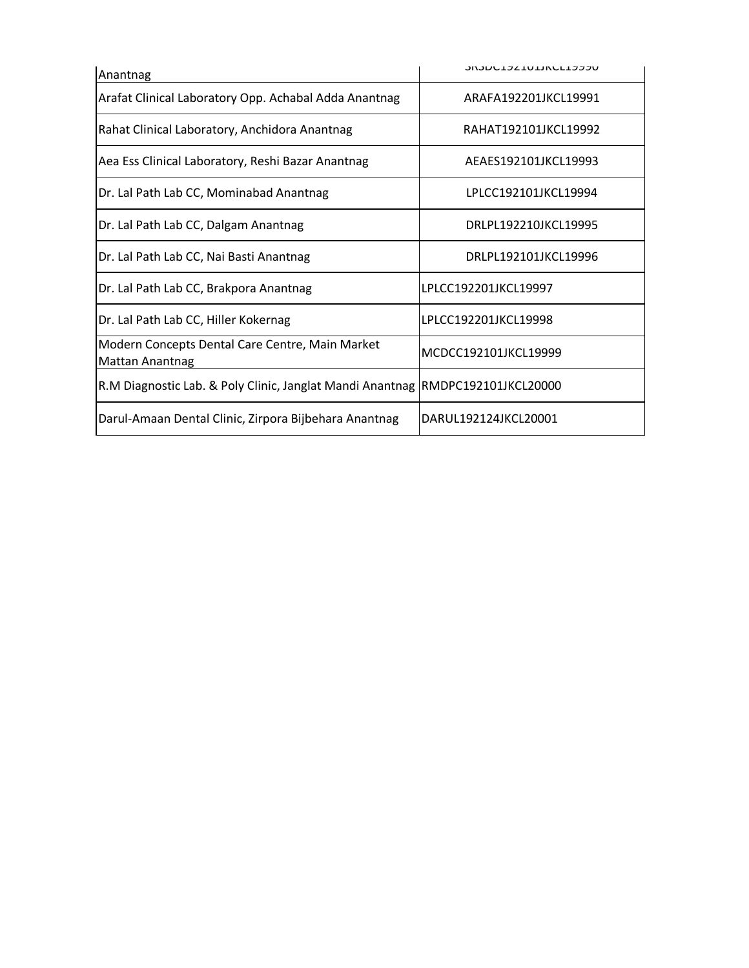| Anantnag                                                                       | <b>JUJULIJZIULINLLIJJJU</b> |  |
|--------------------------------------------------------------------------------|-----------------------------|--|
| Arafat Clinical Laboratory Opp. Achabal Adda Anantnag                          | ARAFA192201JKCL19991        |  |
| Rahat Clinical Laboratory, Anchidora Anantnag                                  | RAHAT192101JKCL19992        |  |
| Aea Ess Clinical Laboratory, Reshi Bazar Anantnag                              | AEAES192101JKCL19993        |  |
| Dr. Lal Path Lab CC, Mominabad Anantnag                                        | LPLCC192101JKCL19994        |  |
| Dr. Lal Path Lab CC, Dalgam Anantnag                                           | DRLPL192210JKCL19995        |  |
| Dr. Lal Path Lab CC, Nai Basti Anantnag                                        | DRLPL192101JKCL19996        |  |
| Dr. Lal Path Lab CC, Brakpora Anantnag                                         | LPLCC192201JKCL19997        |  |
| Dr. Lal Path Lab CC, Hiller Kokernag                                           | LPLCC192201JKCL19998        |  |
| Modern Concepts Dental Care Centre, Main Market<br>Mattan Anantnag             | MCDCC192101JKCL19999        |  |
| R.M Diagnostic Lab. & Poly Clinic, Janglat Mandi Anantnag RMDPC192101JKCL20000 |                             |  |
| Darul-Amaan Dental Clinic, Zirpora Bijbehara Anantnag                          | DARUL192124JKCL20001        |  |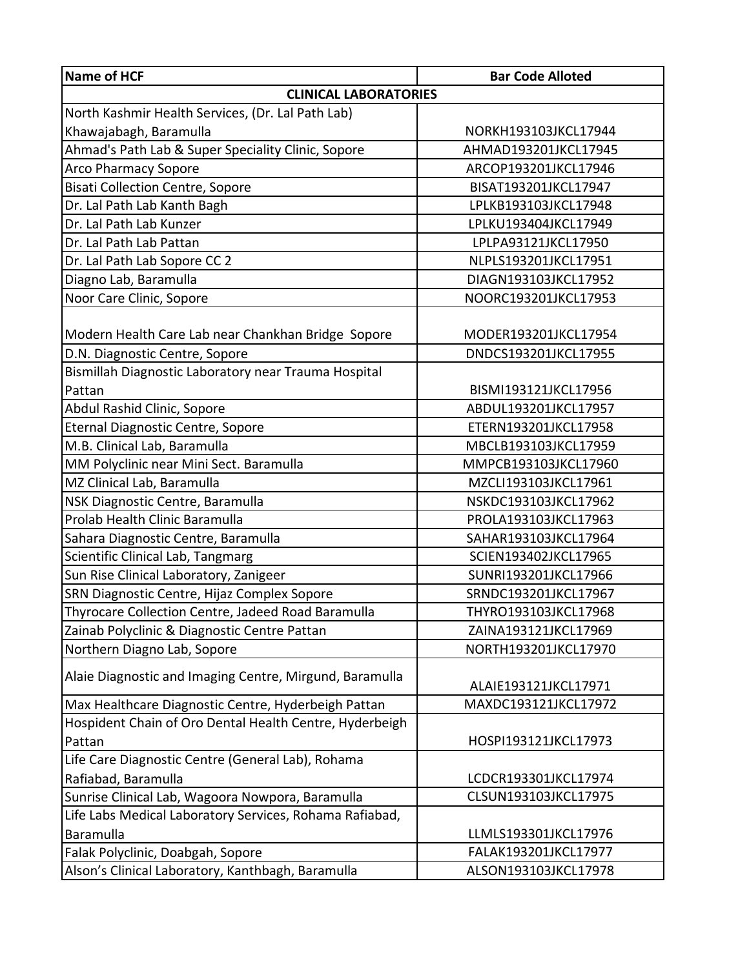| <b>CLINICAL LABORATORIES</b><br>North Kashmir Health Services, (Dr. Lal Path Lab)<br>Khawajabagh, Baramulla<br>NORKH193103JKCL17944<br>Ahmad's Path Lab & Super Speciality Clinic, Sopore<br>AHMAD193201JKCL17945<br><b>Arco Pharmacy Sopore</b><br>ARCOP193201JKCL17946<br><b>Bisati Collection Centre, Sopore</b><br>BISAT193201JKCL17947<br>Dr. Lal Path Lab Kanth Bagh<br>LPLKB193103JKCL17948<br>Dr. Lal Path Lab Kunzer<br>LPLKU193404JKCL17949<br>Dr. Lal Path Lab Pattan<br>LPLPA93121JKCL17950<br>Dr. Lal Path Lab Sopore CC 2<br>NLPLS193201JKCL17951<br>Diagno Lab, Baramulla<br>DIAGN193103JKCL17952<br>Noor Care Clinic, Sopore<br>NOORC193201JKCL17953<br>Modern Health Care Lab near Chankhan Bridge Sopore<br>MODER193201JKCL17954<br>D.N. Diagnostic Centre, Sopore<br>DNDCS193201JKCL17955<br>Bismillah Diagnostic Laboratory near Trauma Hospital<br>BISMI193121JKCL17956<br>Pattan<br>Abdul Rashid Clinic, Sopore<br>ABDUL193201JKCL17957<br>Eternal Diagnostic Centre, Sopore<br>ETERN193201JKCL17958<br>M.B. Clinical Lab, Baramulla<br>MBCLB193103JKCL17959<br>MM Polyclinic near Mini Sect. Baramulla<br>MMPCB193103JKCL17960<br>MZ Clinical Lab, Baramulla<br>MZCLI193103JKCL17961<br>NSK Diagnostic Centre, Baramulla<br>NSKDC193103JKCL17962<br>Prolab Health Clinic Baramulla<br>PROLA193103JKCL17963<br>Sahara Diagnostic Centre, Baramulla<br>SAHAR193103JKCL17964<br>Scientific Clinical Lab, Tangmarg<br>SCIEN193402JKCL17965<br>Sun Rise Clinical Laboratory, Zanigeer<br>SUNRI193201JKCL17966<br>SRN Diagnostic Centre, Hijaz Complex Sopore<br>SRNDC193201JKCL17967<br>Thyrocare Collection Centre, Jadeed Road Baramulla<br>THYRO193103JKCL17968<br>Zainab Polyclinic & Diagnostic Centre Pattan<br>ZAINA193121JKCL17969<br>Northern Diagno Lab, Sopore<br>NORTH193201JKCL17970<br>Alaie Diagnostic and Imaging Centre, Mirgund, Baramulla<br>ALAIE193121JKCL17971<br>MAXDC193121JKCL17972<br>Max Healthcare Diagnostic Centre, Hyderbeigh Pattan<br>Hospident Chain of Oro Dental Health Centre, Hyderbeigh<br>Pattan<br>HOSPI193121JKCL17973<br>Life Care Diagnostic Centre (General Lab), Rohama<br>Rafiabad, Baramulla<br>LCDCR193301JKCL17974<br>Sunrise Clinical Lab, Wagoora Nowpora, Baramulla<br>CLSUN193103JKCL17975<br>Life Labs Medical Laboratory Services, Rohama Rafiabad,<br>Baramulla<br>LLMLS193301JKCL17976<br>FALAK193201JKCL17977<br>Falak Polyclinic, Doabgah, Sopore | Name of HCF                                       | <b>Bar Code Alloted</b> |
|---------------------------------------------------------------------------------------------------------------------------------------------------------------------------------------------------------------------------------------------------------------------------------------------------------------------------------------------------------------------------------------------------------------------------------------------------------------------------------------------------------------------------------------------------------------------------------------------------------------------------------------------------------------------------------------------------------------------------------------------------------------------------------------------------------------------------------------------------------------------------------------------------------------------------------------------------------------------------------------------------------------------------------------------------------------------------------------------------------------------------------------------------------------------------------------------------------------------------------------------------------------------------------------------------------------------------------------------------------------------------------------------------------------------------------------------------------------------------------------------------------------------------------------------------------------------------------------------------------------------------------------------------------------------------------------------------------------------------------------------------------------------------------------------------------------------------------------------------------------------------------------------------------------------------------------------------------------------------------------------------------------------------------------------------------------------------------------------------------------------------------------------------------------------------------------------------------------------------------------------------------------------------------------------------------------------------------------------------------------------------------------------------------------------------------|---------------------------------------------------|-------------------------|
|                                                                                                                                                                                                                                                                                                                                                                                                                                                                                                                                                                                                                                                                                                                                                                                                                                                                                                                                                                                                                                                                                                                                                                                                                                                                                                                                                                                                                                                                                                                                                                                                                                                                                                                                                                                                                                                                                                                                                                                                                                                                                                                                                                                                                                                                                                                                                                                                                                 |                                                   |                         |
|                                                                                                                                                                                                                                                                                                                                                                                                                                                                                                                                                                                                                                                                                                                                                                                                                                                                                                                                                                                                                                                                                                                                                                                                                                                                                                                                                                                                                                                                                                                                                                                                                                                                                                                                                                                                                                                                                                                                                                                                                                                                                                                                                                                                                                                                                                                                                                                                                                 |                                                   |                         |
|                                                                                                                                                                                                                                                                                                                                                                                                                                                                                                                                                                                                                                                                                                                                                                                                                                                                                                                                                                                                                                                                                                                                                                                                                                                                                                                                                                                                                                                                                                                                                                                                                                                                                                                                                                                                                                                                                                                                                                                                                                                                                                                                                                                                                                                                                                                                                                                                                                 |                                                   |                         |
|                                                                                                                                                                                                                                                                                                                                                                                                                                                                                                                                                                                                                                                                                                                                                                                                                                                                                                                                                                                                                                                                                                                                                                                                                                                                                                                                                                                                                                                                                                                                                                                                                                                                                                                                                                                                                                                                                                                                                                                                                                                                                                                                                                                                                                                                                                                                                                                                                                 |                                                   |                         |
|                                                                                                                                                                                                                                                                                                                                                                                                                                                                                                                                                                                                                                                                                                                                                                                                                                                                                                                                                                                                                                                                                                                                                                                                                                                                                                                                                                                                                                                                                                                                                                                                                                                                                                                                                                                                                                                                                                                                                                                                                                                                                                                                                                                                                                                                                                                                                                                                                                 |                                                   |                         |
|                                                                                                                                                                                                                                                                                                                                                                                                                                                                                                                                                                                                                                                                                                                                                                                                                                                                                                                                                                                                                                                                                                                                                                                                                                                                                                                                                                                                                                                                                                                                                                                                                                                                                                                                                                                                                                                                                                                                                                                                                                                                                                                                                                                                                                                                                                                                                                                                                                 |                                                   |                         |
|                                                                                                                                                                                                                                                                                                                                                                                                                                                                                                                                                                                                                                                                                                                                                                                                                                                                                                                                                                                                                                                                                                                                                                                                                                                                                                                                                                                                                                                                                                                                                                                                                                                                                                                                                                                                                                                                                                                                                                                                                                                                                                                                                                                                                                                                                                                                                                                                                                 |                                                   |                         |
|                                                                                                                                                                                                                                                                                                                                                                                                                                                                                                                                                                                                                                                                                                                                                                                                                                                                                                                                                                                                                                                                                                                                                                                                                                                                                                                                                                                                                                                                                                                                                                                                                                                                                                                                                                                                                                                                                                                                                                                                                                                                                                                                                                                                                                                                                                                                                                                                                                 |                                                   |                         |
|                                                                                                                                                                                                                                                                                                                                                                                                                                                                                                                                                                                                                                                                                                                                                                                                                                                                                                                                                                                                                                                                                                                                                                                                                                                                                                                                                                                                                                                                                                                                                                                                                                                                                                                                                                                                                                                                                                                                                                                                                                                                                                                                                                                                                                                                                                                                                                                                                                 |                                                   |                         |
|                                                                                                                                                                                                                                                                                                                                                                                                                                                                                                                                                                                                                                                                                                                                                                                                                                                                                                                                                                                                                                                                                                                                                                                                                                                                                                                                                                                                                                                                                                                                                                                                                                                                                                                                                                                                                                                                                                                                                                                                                                                                                                                                                                                                                                                                                                                                                                                                                                 |                                                   |                         |
|                                                                                                                                                                                                                                                                                                                                                                                                                                                                                                                                                                                                                                                                                                                                                                                                                                                                                                                                                                                                                                                                                                                                                                                                                                                                                                                                                                                                                                                                                                                                                                                                                                                                                                                                                                                                                                                                                                                                                                                                                                                                                                                                                                                                                                                                                                                                                                                                                                 |                                                   |                         |
|                                                                                                                                                                                                                                                                                                                                                                                                                                                                                                                                                                                                                                                                                                                                                                                                                                                                                                                                                                                                                                                                                                                                                                                                                                                                                                                                                                                                                                                                                                                                                                                                                                                                                                                                                                                                                                                                                                                                                                                                                                                                                                                                                                                                                                                                                                                                                                                                                                 |                                                   |                         |
|                                                                                                                                                                                                                                                                                                                                                                                                                                                                                                                                                                                                                                                                                                                                                                                                                                                                                                                                                                                                                                                                                                                                                                                                                                                                                                                                                                                                                                                                                                                                                                                                                                                                                                                                                                                                                                                                                                                                                                                                                                                                                                                                                                                                                                                                                                                                                                                                                                 |                                                   |                         |
|                                                                                                                                                                                                                                                                                                                                                                                                                                                                                                                                                                                                                                                                                                                                                                                                                                                                                                                                                                                                                                                                                                                                                                                                                                                                                                                                                                                                                                                                                                                                                                                                                                                                                                                                                                                                                                                                                                                                                                                                                                                                                                                                                                                                                                                                                                                                                                                                                                 |                                                   |                         |
|                                                                                                                                                                                                                                                                                                                                                                                                                                                                                                                                                                                                                                                                                                                                                                                                                                                                                                                                                                                                                                                                                                                                                                                                                                                                                                                                                                                                                                                                                                                                                                                                                                                                                                                                                                                                                                                                                                                                                                                                                                                                                                                                                                                                                                                                                                                                                                                                                                 |                                                   |                         |
|                                                                                                                                                                                                                                                                                                                                                                                                                                                                                                                                                                                                                                                                                                                                                                                                                                                                                                                                                                                                                                                                                                                                                                                                                                                                                                                                                                                                                                                                                                                                                                                                                                                                                                                                                                                                                                                                                                                                                                                                                                                                                                                                                                                                                                                                                                                                                                                                                                 |                                                   |                         |
|                                                                                                                                                                                                                                                                                                                                                                                                                                                                                                                                                                                                                                                                                                                                                                                                                                                                                                                                                                                                                                                                                                                                                                                                                                                                                                                                                                                                                                                                                                                                                                                                                                                                                                                                                                                                                                                                                                                                                                                                                                                                                                                                                                                                                                                                                                                                                                                                                                 |                                                   |                         |
|                                                                                                                                                                                                                                                                                                                                                                                                                                                                                                                                                                                                                                                                                                                                                                                                                                                                                                                                                                                                                                                                                                                                                                                                                                                                                                                                                                                                                                                                                                                                                                                                                                                                                                                                                                                                                                                                                                                                                                                                                                                                                                                                                                                                                                                                                                                                                                                                                                 |                                                   |                         |
|                                                                                                                                                                                                                                                                                                                                                                                                                                                                                                                                                                                                                                                                                                                                                                                                                                                                                                                                                                                                                                                                                                                                                                                                                                                                                                                                                                                                                                                                                                                                                                                                                                                                                                                                                                                                                                                                                                                                                                                                                                                                                                                                                                                                                                                                                                                                                                                                                                 |                                                   |                         |
|                                                                                                                                                                                                                                                                                                                                                                                                                                                                                                                                                                                                                                                                                                                                                                                                                                                                                                                                                                                                                                                                                                                                                                                                                                                                                                                                                                                                                                                                                                                                                                                                                                                                                                                                                                                                                                                                                                                                                                                                                                                                                                                                                                                                                                                                                                                                                                                                                                 |                                                   |                         |
|                                                                                                                                                                                                                                                                                                                                                                                                                                                                                                                                                                                                                                                                                                                                                                                                                                                                                                                                                                                                                                                                                                                                                                                                                                                                                                                                                                                                                                                                                                                                                                                                                                                                                                                                                                                                                                                                                                                                                                                                                                                                                                                                                                                                                                                                                                                                                                                                                                 |                                                   |                         |
|                                                                                                                                                                                                                                                                                                                                                                                                                                                                                                                                                                                                                                                                                                                                                                                                                                                                                                                                                                                                                                                                                                                                                                                                                                                                                                                                                                                                                                                                                                                                                                                                                                                                                                                                                                                                                                                                                                                                                                                                                                                                                                                                                                                                                                                                                                                                                                                                                                 |                                                   |                         |
|                                                                                                                                                                                                                                                                                                                                                                                                                                                                                                                                                                                                                                                                                                                                                                                                                                                                                                                                                                                                                                                                                                                                                                                                                                                                                                                                                                                                                                                                                                                                                                                                                                                                                                                                                                                                                                                                                                                                                                                                                                                                                                                                                                                                                                                                                                                                                                                                                                 |                                                   |                         |
|                                                                                                                                                                                                                                                                                                                                                                                                                                                                                                                                                                                                                                                                                                                                                                                                                                                                                                                                                                                                                                                                                                                                                                                                                                                                                                                                                                                                                                                                                                                                                                                                                                                                                                                                                                                                                                                                                                                                                                                                                                                                                                                                                                                                                                                                                                                                                                                                                                 |                                                   |                         |
|                                                                                                                                                                                                                                                                                                                                                                                                                                                                                                                                                                                                                                                                                                                                                                                                                                                                                                                                                                                                                                                                                                                                                                                                                                                                                                                                                                                                                                                                                                                                                                                                                                                                                                                                                                                                                                                                                                                                                                                                                                                                                                                                                                                                                                                                                                                                                                                                                                 |                                                   |                         |
|                                                                                                                                                                                                                                                                                                                                                                                                                                                                                                                                                                                                                                                                                                                                                                                                                                                                                                                                                                                                                                                                                                                                                                                                                                                                                                                                                                                                                                                                                                                                                                                                                                                                                                                                                                                                                                                                                                                                                                                                                                                                                                                                                                                                                                                                                                                                                                                                                                 |                                                   |                         |
|                                                                                                                                                                                                                                                                                                                                                                                                                                                                                                                                                                                                                                                                                                                                                                                                                                                                                                                                                                                                                                                                                                                                                                                                                                                                                                                                                                                                                                                                                                                                                                                                                                                                                                                                                                                                                                                                                                                                                                                                                                                                                                                                                                                                                                                                                                                                                                                                                                 |                                                   |                         |
|                                                                                                                                                                                                                                                                                                                                                                                                                                                                                                                                                                                                                                                                                                                                                                                                                                                                                                                                                                                                                                                                                                                                                                                                                                                                                                                                                                                                                                                                                                                                                                                                                                                                                                                                                                                                                                                                                                                                                                                                                                                                                                                                                                                                                                                                                                                                                                                                                                 |                                                   |                         |
|                                                                                                                                                                                                                                                                                                                                                                                                                                                                                                                                                                                                                                                                                                                                                                                                                                                                                                                                                                                                                                                                                                                                                                                                                                                                                                                                                                                                                                                                                                                                                                                                                                                                                                                                                                                                                                                                                                                                                                                                                                                                                                                                                                                                                                                                                                                                                                                                                                 |                                                   |                         |
|                                                                                                                                                                                                                                                                                                                                                                                                                                                                                                                                                                                                                                                                                                                                                                                                                                                                                                                                                                                                                                                                                                                                                                                                                                                                                                                                                                                                                                                                                                                                                                                                                                                                                                                                                                                                                                                                                                                                                                                                                                                                                                                                                                                                                                                                                                                                                                                                                                 |                                                   |                         |
|                                                                                                                                                                                                                                                                                                                                                                                                                                                                                                                                                                                                                                                                                                                                                                                                                                                                                                                                                                                                                                                                                                                                                                                                                                                                                                                                                                                                                                                                                                                                                                                                                                                                                                                                                                                                                                                                                                                                                                                                                                                                                                                                                                                                                                                                                                                                                                                                                                 |                                                   |                         |
|                                                                                                                                                                                                                                                                                                                                                                                                                                                                                                                                                                                                                                                                                                                                                                                                                                                                                                                                                                                                                                                                                                                                                                                                                                                                                                                                                                                                                                                                                                                                                                                                                                                                                                                                                                                                                                                                                                                                                                                                                                                                                                                                                                                                                                                                                                                                                                                                                                 |                                                   |                         |
|                                                                                                                                                                                                                                                                                                                                                                                                                                                                                                                                                                                                                                                                                                                                                                                                                                                                                                                                                                                                                                                                                                                                                                                                                                                                                                                                                                                                                                                                                                                                                                                                                                                                                                                                                                                                                                                                                                                                                                                                                                                                                                                                                                                                                                                                                                                                                                                                                                 |                                                   |                         |
|                                                                                                                                                                                                                                                                                                                                                                                                                                                                                                                                                                                                                                                                                                                                                                                                                                                                                                                                                                                                                                                                                                                                                                                                                                                                                                                                                                                                                                                                                                                                                                                                                                                                                                                                                                                                                                                                                                                                                                                                                                                                                                                                                                                                                                                                                                                                                                                                                                 |                                                   |                         |
|                                                                                                                                                                                                                                                                                                                                                                                                                                                                                                                                                                                                                                                                                                                                                                                                                                                                                                                                                                                                                                                                                                                                                                                                                                                                                                                                                                                                                                                                                                                                                                                                                                                                                                                                                                                                                                                                                                                                                                                                                                                                                                                                                                                                                                                                                                                                                                                                                                 |                                                   |                         |
|                                                                                                                                                                                                                                                                                                                                                                                                                                                                                                                                                                                                                                                                                                                                                                                                                                                                                                                                                                                                                                                                                                                                                                                                                                                                                                                                                                                                                                                                                                                                                                                                                                                                                                                                                                                                                                                                                                                                                                                                                                                                                                                                                                                                                                                                                                                                                                                                                                 |                                                   |                         |
|                                                                                                                                                                                                                                                                                                                                                                                                                                                                                                                                                                                                                                                                                                                                                                                                                                                                                                                                                                                                                                                                                                                                                                                                                                                                                                                                                                                                                                                                                                                                                                                                                                                                                                                                                                                                                                                                                                                                                                                                                                                                                                                                                                                                                                                                                                                                                                                                                                 |                                                   |                         |
|                                                                                                                                                                                                                                                                                                                                                                                                                                                                                                                                                                                                                                                                                                                                                                                                                                                                                                                                                                                                                                                                                                                                                                                                                                                                                                                                                                                                                                                                                                                                                                                                                                                                                                                                                                                                                                                                                                                                                                                                                                                                                                                                                                                                                                                                                                                                                                                                                                 | Alson's Clinical Laboratory, Kanthbagh, Baramulla | ALSON193103JKCL17978    |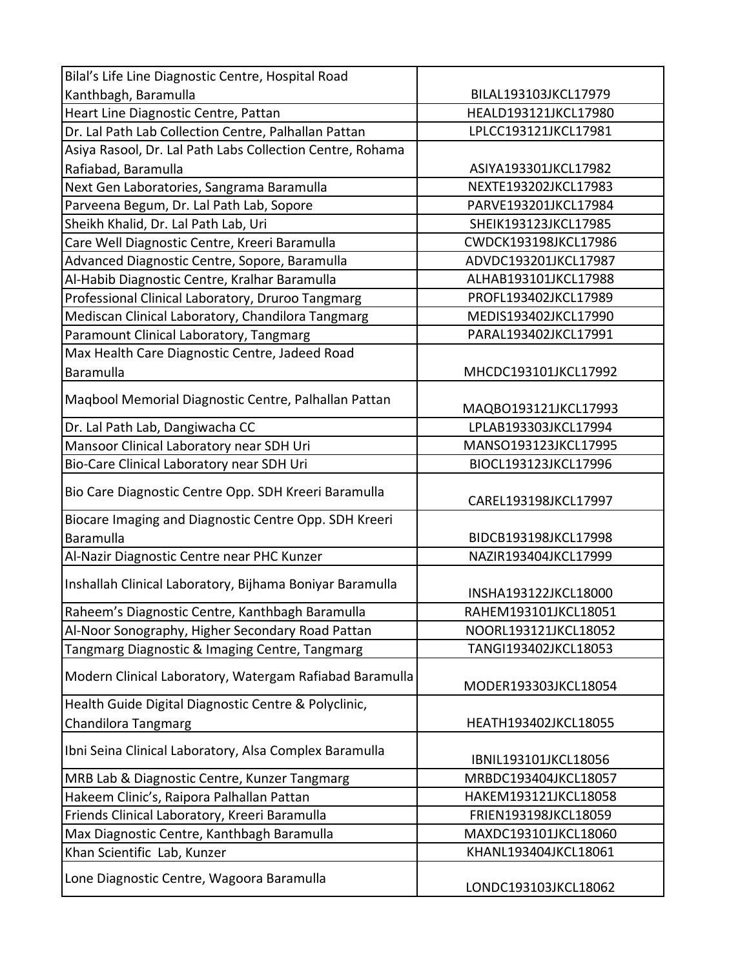| Bilal's Life Line Diagnostic Centre, Hospital Road                          |                      |
|-----------------------------------------------------------------------------|----------------------|
| Kanthbagh, Baramulla                                                        | BILAL193103JKCL17979 |
| Heart Line Diagnostic Centre, Pattan                                        | HEALD193121JKCL17980 |
| Dr. Lal Path Lab Collection Centre, Palhallan Pattan                        | LPLCC193121JKCL17981 |
| Asiya Rasool, Dr. Lal Path Labs Collection Centre, Rohama                   |                      |
| Rafiabad, Baramulla                                                         | ASIYA193301JKCL17982 |
| Next Gen Laboratories, Sangrama Baramulla                                   | NEXTE193202JKCL17983 |
| Parveena Begum, Dr. Lal Path Lab, Sopore                                    | PARVE193201JKCL17984 |
| Sheikh Khalid, Dr. Lal Path Lab, Uri                                        | SHEIK193123JKCL17985 |
| Care Well Diagnostic Centre, Kreeri Baramulla                               | CWDCK193198JKCL17986 |
| Advanced Diagnostic Centre, Sopore, Baramulla                               | ADVDC193201JKCL17987 |
| Al-Habib Diagnostic Centre, Kralhar Baramulla                               | ALHAB193101JKCL17988 |
| Professional Clinical Laboratory, Druroo Tangmarg                           | PROFL193402JKCL17989 |
| Mediscan Clinical Laboratory, Chandilora Tangmarg                           | MEDIS193402JKCL17990 |
| Paramount Clinical Laboratory, Tangmarg                                     | PARAL193402JKCL17991 |
| Max Health Care Diagnostic Centre, Jadeed Road                              |                      |
| Baramulla                                                                   | MHCDC193101JKCL17992 |
| Magbool Memorial Diagnostic Centre, Palhallan Pattan                        | MAQBO193121JKCL17993 |
| Dr. Lal Path Lab, Dangiwacha CC                                             | LPLAB193303JKCL17994 |
| Mansoor Clinical Laboratory near SDH Uri                                    | MANSO193123JKCL17995 |
| Bio-Care Clinical Laboratory near SDH Uri                                   | BIOCL193123JKCL17996 |
| Bio Care Diagnostic Centre Opp. SDH Kreeri Baramulla                        | CAREL193198JKCL17997 |
| Biocare Imaging and Diagnostic Centre Opp. SDH Kreeri                       |                      |
| Baramulla                                                                   | BIDCB193198JKCL17998 |
| Al-Nazir Diagnostic Centre near PHC Kunzer                                  | NAZIR193404JKCL17999 |
| Inshallah Clinical Laboratory, Bijhama Boniyar Baramulla                    | INSHA193122JKCL18000 |
| Raheem's Diagnostic Centre, Kanthbagh Baramulla                             | RAHEM193101JKCL18051 |
| Al-Noor Sonography, Higher Secondary Road Pattan                            | NOORL193121JKCL18052 |
| Tangmarg Diagnostic & Imaging Centre, Tangmarg                              | TANGI193402JKCL18053 |
| Modern Clinical Laboratory, Watergam Rafiabad Baramulla                     | MODER193303JKCL18054 |
| Health Guide Digital Diagnostic Centre & Polyclinic,<br>Chandilora Tangmarg | HEATH193402JKCL18055 |
| Ibni Seina Clinical Laboratory, Alsa Complex Baramulla                      | IBNIL193101JKCL18056 |
| MRB Lab & Diagnostic Centre, Kunzer Tangmarg                                | MRBDC193404JKCL18057 |
| Hakeem Clinic's, Raipora Palhallan Pattan                                   | HAKEM193121JKCL18058 |
| Friends Clinical Laboratory, Kreeri Baramulla                               | FRIEN193198JKCL18059 |
| Max Diagnostic Centre, Kanthbagh Baramulla                                  | MAXDC193101JKCL18060 |
| Khan Scientific Lab, Kunzer                                                 | KHANL193404JKCL18061 |
| Lone Diagnostic Centre, Wagoora Baramulla                                   | LONDC193103JKCL18062 |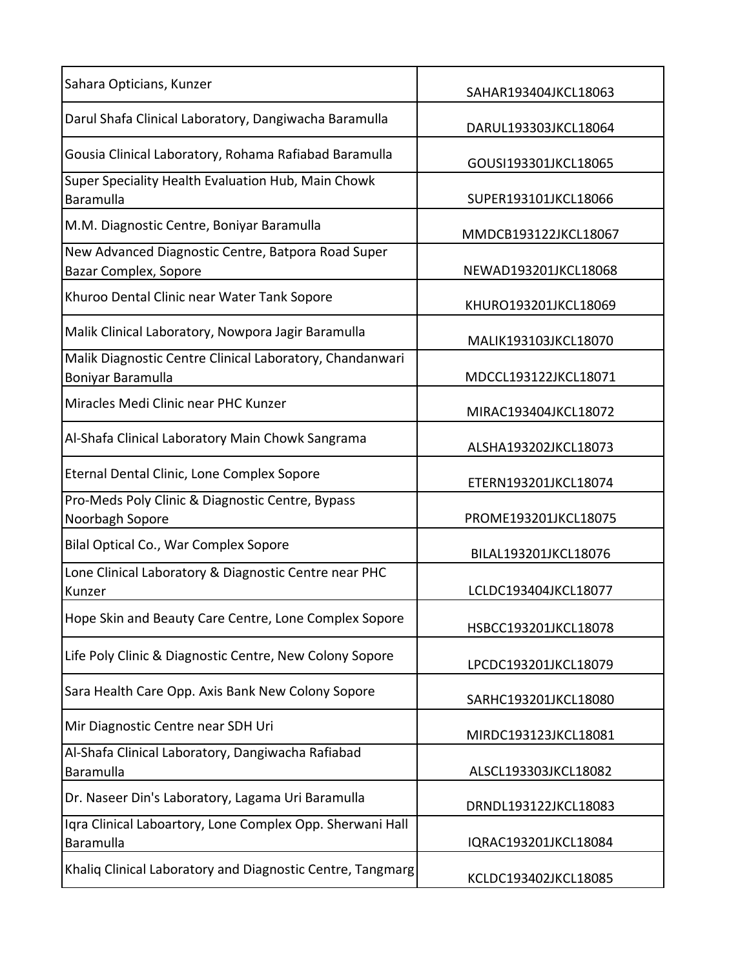| Sahara Opticians, Kunzer                                                      | SAHAR193404JKCL18063 |
|-------------------------------------------------------------------------------|----------------------|
| Darul Shafa Clinical Laboratory, Dangiwacha Baramulla                         | DARUL193303JKCL18064 |
| Gousia Clinical Laboratory, Rohama Rafiabad Baramulla                         | GOUSI193301JKCL18065 |
| Super Speciality Health Evaluation Hub, Main Chowk<br>Baramulla               | SUPER193101JKCL18066 |
| M.M. Diagnostic Centre, Boniyar Baramulla                                     | MMDCB193122JKCL18067 |
| New Advanced Diagnostic Centre, Batpora Road Super<br>Bazar Complex, Sopore   | NEWAD193201JKCL18068 |
| Khuroo Dental Clinic near Water Tank Sopore                                   | KHURO193201JKCL18069 |
| Malik Clinical Laboratory, Nowpora Jagir Baramulla                            | MALIK193103JKCL18070 |
| Malik Diagnostic Centre Clinical Laboratory, Chandanwari<br>Boniyar Baramulla | MDCCL193122JKCL18071 |
| Miracles Medi Clinic near PHC Kunzer                                          | MIRAC193404JKCL18072 |
| Al-Shafa Clinical Laboratory Main Chowk Sangrama                              | ALSHA193202JKCL18073 |
| Eternal Dental Clinic, Lone Complex Sopore                                    | ETERN193201JKCL18074 |
| Pro-Meds Poly Clinic & Diagnostic Centre, Bypass<br>Noorbagh Sopore           | PROME193201JKCL18075 |
| Bilal Optical Co., War Complex Sopore                                         | BILAL193201JKCL18076 |
| Lone Clinical Laboratory & Diagnostic Centre near PHC<br>Kunzer               | LCLDC193404JKCL18077 |
| Hope Skin and Beauty Care Centre, Lone Complex Sopore                         | HSBCC193201JKCL18078 |
| Life Poly Clinic & Diagnostic Centre, New Colony Sopore                       | LPCDC193201JKCL18079 |
| Sara Health Care Opp. Axis Bank New Colony Sopore                             | SARHC193201JKCL18080 |
| Mir Diagnostic Centre near SDH Uri                                            | MIRDC193123JKCL18081 |
| Al-Shafa Clinical Laboratory, Dangiwacha Rafiabad<br>Baramulla                | ALSCL193303JKCL18082 |
| Dr. Naseer Din's Laboratory, Lagama Uri Baramulla                             | DRNDL193122JKCL18083 |
| Iqra Clinical Laboartory, Lone Complex Opp. Sherwani Hall<br>Baramulla        | IQRAC193201JKCL18084 |
| Khaliq Clinical Laboratory and Diagnostic Centre, Tangmarg                    | KCLDC193402JKCL18085 |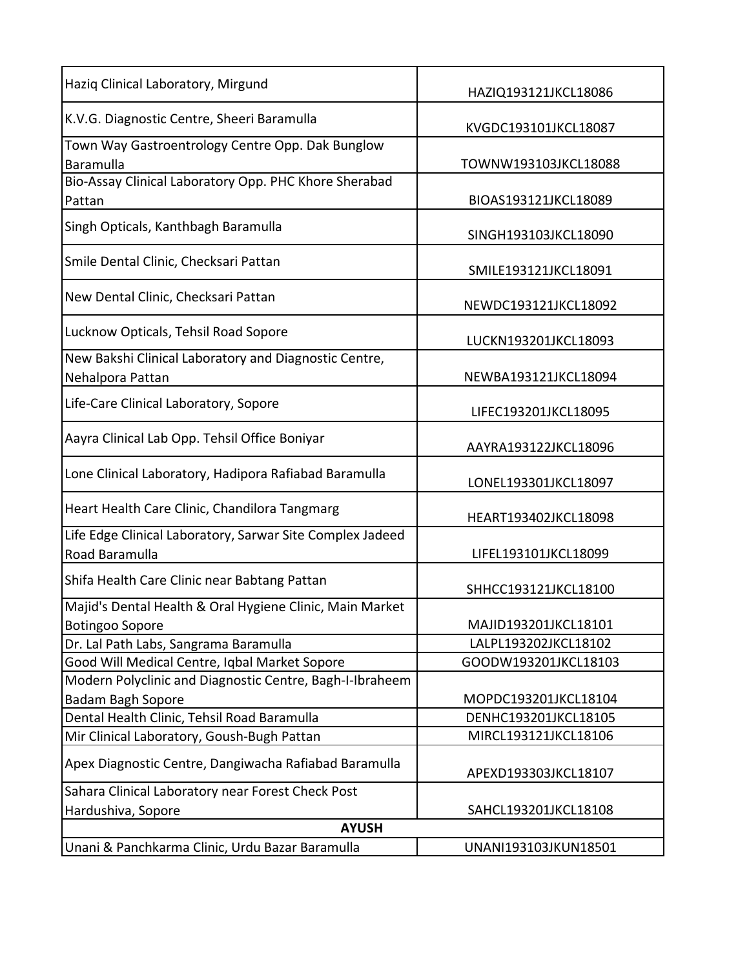| Haziq Clinical Laboratory, Mirgund                                                 | HAZIQ193121JKCL18086 |
|------------------------------------------------------------------------------------|----------------------|
| K.V.G. Diagnostic Centre, Sheeri Baramulla                                         | KVGDC193101JKCL18087 |
| Town Way Gastroentrology Centre Opp. Dak Bunglow<br>Baramulla                      | TOWNW193103JKCL18088 |
| Bio-Assay Clinical Laboratory Opp. PHC Khore Sherabad<br>Pattan                    | BIOAS193121JKCL18089 |
| Singh Opticals, Kanthbagh Baramulla                                                | SINGH193103JKCL18090 |
| Smile Dental Clinic, Checksari Pattan                                              | SMILE193121JKCL18091 |
| New Dental Clinic, Checksari Pattan                                                | NEWDC193121JKCL18092 |
| Lucknow Opticals, Tehsil Road Sopore                                               | LUCKN193201JKCL18093 |
| New Bakshi Clinical Laboratory and Diagnostic Centre,<br>Nehalpora Pattan          | NEWBA193121JKCL18094 |
| Life-Care Clinical Laboratory, Sopore                                              | LIFEC193201JKCL18095 |
| Aayra Clinical Lab Opp. Tehsil Office Boniyar                                      | AAYRA193122JKCL18096 |
| Lone Clinical Laboratory, Hadipora Rafiabad Baramulla                              | LONEL193301JKCL18097 |
| Heart Health Care Clinic, Chandilora Tangmarg                                      | HEART193402JKCL18098 |
| Life Edge Clinical Laboratory, Sarwar Site Complex Jadeed<br>Road Baramulla        | LIFEL193101JKCL18099 |
| Shifa Health Care Clinic near Babtang Pattan                                       | SHHCC193121JKCL18100 |
| Majid's Dental Health & Oral Hygiene Clinic, Main Market<br><b>Botingoo Sopore</b> | MAJID193201JKCL18101 |
| Dr. Lal Path Labs, Sangrama Baramulla                                              | LALPL193202JKCL18102 |
| Good Will Medical Centre, Iqbal Market Sopore                                      | GOODW193201JKCL18103 |
| Modern Polyclinic and Diagnostic Centre, Bagh-I-Ibraheem                           |                      |
| Badam Bagh Sopore                                                                  | MOPDC193201JKCL18104 |
| Dental Health Clinic, Tehsil Road Baramulla                                        | DENHC193201JKCL18105 |
| Mir Clinical Laboratory, Goush-Bugh Pattan                                         | MIRCL193121JKCL18106 |
| Apex Diagnostic Centre, Dangiwacha Rafiabad Baramulla                              | APEXD193303JKCL18107 |
| Sahara Clinical Laboratory near Forest Check Post                                  |                      |
| Hardushiva, Sopore                                                                 | SAHCL193201JKCL18108 |
| <b>AYUSH</b>                                                                       |                      |
| Unani & Panchkarma Clinic, Urdu Bazar Baramulla                                    | UNANI193103JKUN18501 |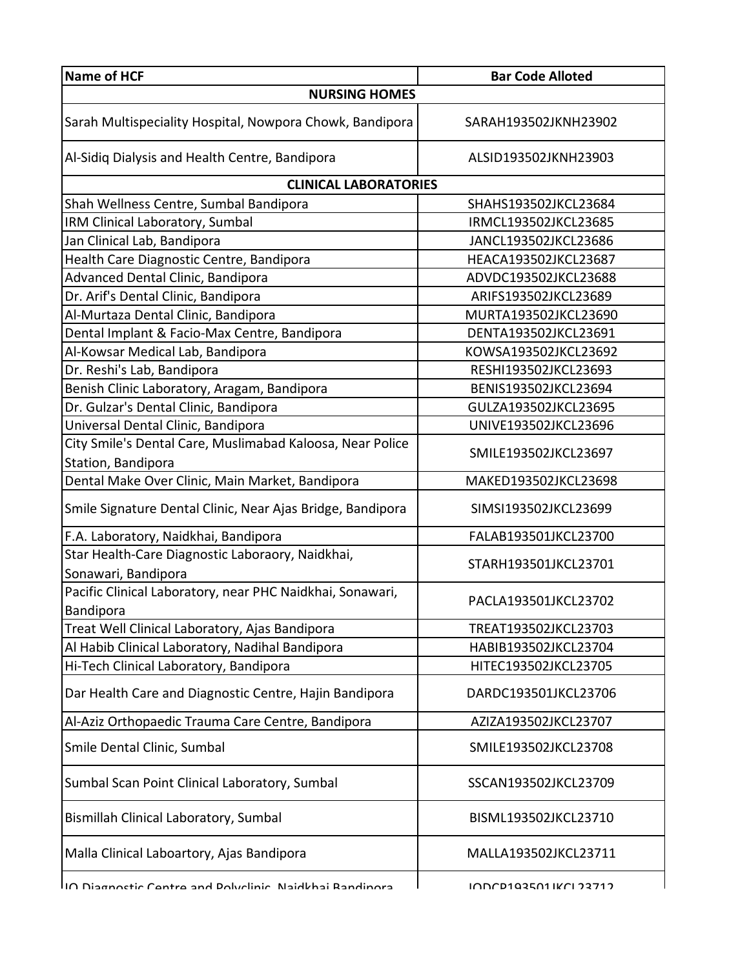| Name of HCF                                                                     | <b>Bar Code Alloted</b>       |
|---------------------------------------------------------------------------------|-------------------------------|
| <b>NURSING HOMES</b>                                                            |                               |
| Sarah Multispeciality Hospital, Nowpora Chowk, Bandipora                        | SARAH193502JKNH23902          |
| Al-Sidiq Dialysis and Health Centre, Bandipora                                  | ALSID193502JKNH23903          |
| <b>CLINICAL LABORATORIES</b>                                                    |                               |
| Shah Wellness Centre, Sumbal Bandipora                                          | SHAHS193502JKCL23684          |
| IRM Clinical Laboratory, Sumbal                                                 | IRMCL193502JKCL23685          |
| Jan Clinical Lab, Bandipora                                                     | JANCL193502JKCL23686          |
| Health Care Diagnostic Centre, Bandipora                                        | HEACA193502JKCL23687          |
| Advanced Dental Clinic, Bandipora                                               | ADVDC193502JKCL23688          |
| Dr. Arif's Dental Clinic, Bandipora                                             | ARIFS193502JKCL23689          |
| Al-Murtaza Dental Clinic, Bandipora                                             | MURTA193502JKCL23690          |
| Dental Implant & Facio-Max Centre, Bandipora                                    | DENTA193502JKCL23691          |
| Al-Kowsar Medical Lab, Bandipora                                                | KOWSA193502JKCL23692          |
| Dr. Reshi's Lab, Bandipora                                                      | RESHI193502JKCL23693          |
| Benish Clinic Laboratory, Aragam, Bandipora                                     | BENIS193502JKCL23694          |
| Dr. Gulzar's Dental Clinic, Bandipora                                           | GULZA193502JKCL23695          |
| Universal Dental Clinic, Bandipora                                              | UNIVE193502JKCL23696          |
| City Smile's Dental Care, Muslimabad Kaloosa, Near Police<br>Station, Bandipora | SMILE193502JKCL23697          |
| Dental Make Over Clinic, Main Market, Bandipora                                 | MAKED193502JKCL23698          |
| Smile Signature Dental Clinic, Near Ajas Bridge, Bandipora                      | SIMSI193502JKCL23699          |
| F.A. Laboratory, Naidkhai, Bandipora                                            | FALAB193501JKCL23700          |
| Star Health-Care Diagnostic Laboraory, Naidkhai,<br>Sonawari, Bandipora         | STARH193501JKCL23701          |
| Pacific Clinical Laboratory, near PHC Naidkhai, Sonawari,<br>Bandipora          | PACLA193501JKCL23702          |
| Treat Well Clinical Laboratory, Ajas Bandipora                                  | TREAT193502JKCL23703          |
| Al Habib Clinical Laboratory, Nadihal Bandipora                                 | HABIB193502JKCL23704          |
| Hi-Tech Clinical Laboratory, Bandipora                                          | HITEC193502JKCL23705          |
| Dar Health Care and Diagnostic Centre, Hajin Bandipora                          | DARDC193501JKCL23706          |
| Al-Aziz Orthopaedic Trauma Care Centre, Bandipora                               | AZIZA193502JKCL23707          |
| Smile Dental Clinic, Sumbal                                                     | SMILE193502JKCL23708          |
| Sumbal Scan Point Clinical Laboratory, Sumbal                                   | SSCAN193502JKCL23709          |
| Bismillah Clinical Laboratory, Sumbal                                           | BISML193502JKCL23710          |
| Malla Clinical Laboartory, Ajas Bandipora                                       | MALLA193502JKCL23711          |
| IIA Diagnactic Cantra and Daluclinic. Naidkhai Randinara                        | <u>INNND102501 IKNI 22712</u> |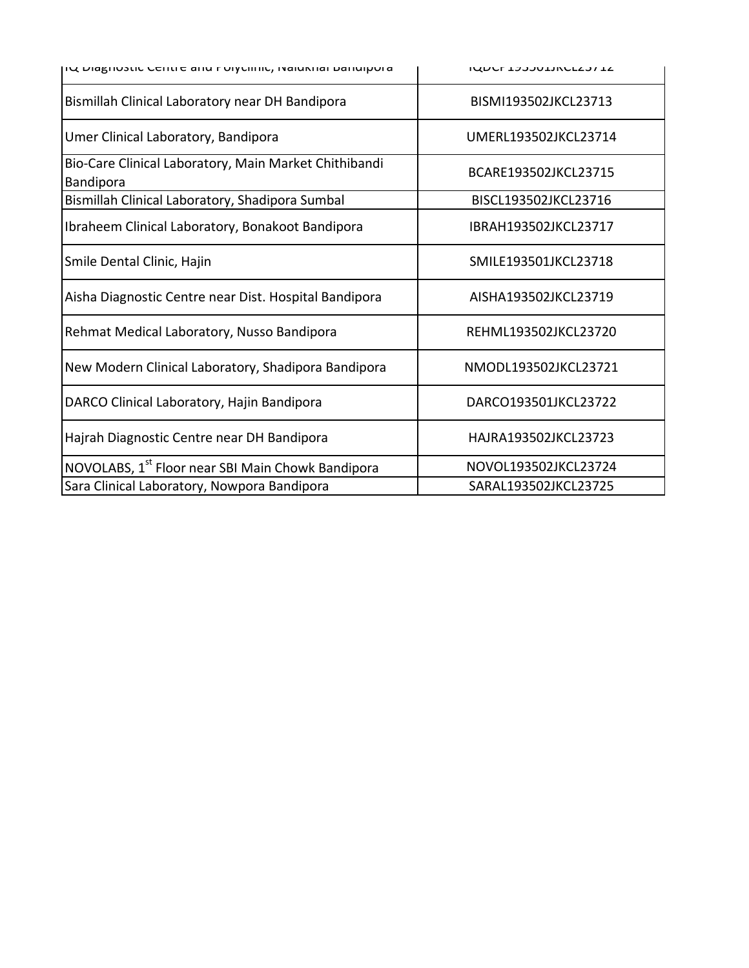| ווע המצווה רבוונוב פווט בהואריין ואפומאוופו המוסוקהופ $\alpha$     | <b>IMDCL TAAANTIVCFTAI TT</b> |
|--------------------------------------------------------------------|-------------------------------|
| Bismillah Clinical Laboratory near DH Bandipora                    | BISMI193502JKCL23713          |
| Umer Clinical Laboratory, Bandipora                                | UMERL193502JKCL23714          |
| Bio-Care Clinical Laboratory, Main Market Chithibandi<br>Bandipora | BCARE193502JKCL23715          |
| Bismillah Clinical Laboratory, Shadipora Sumbal                    | BISCL193502JKCL23716          |
| Ibraheem Clinical Laboratory, Bonakoot Bandipora                   | IBRAH193502JKCL23717          |
| Smile Dental Clinic, Hajin                                         | SMILE193501JKCL23718          |
| Aisha Diagnostic Centre near Dist. Hospital Bandipora              | AISHA193502JKCL23719          |
| Rehmat Medical Laboratory, Nusso Bandipora                         | REHML193502JKCL23720          |
| New Modern Clinical Laboratory, Shadipora Bandipora                | NMODL193502JKCL23721          |
| DARCO Clinical Laboratory, Hajin Bandipora                         | DARCO193501JKCL23722          |
| Hajrah Diagnostic Centre near DH Bandipora                         | HAJRA193502JKCL23723          |
| NOVOLABS, 1 <sup>st</sup> Floor near SBI Main Chowk Bandipora      | NOVOL193502JKCL23724          |
| Sara Clinical Laboratory, Nowpora Bandipora                        | SARAL193502JKCL23725          |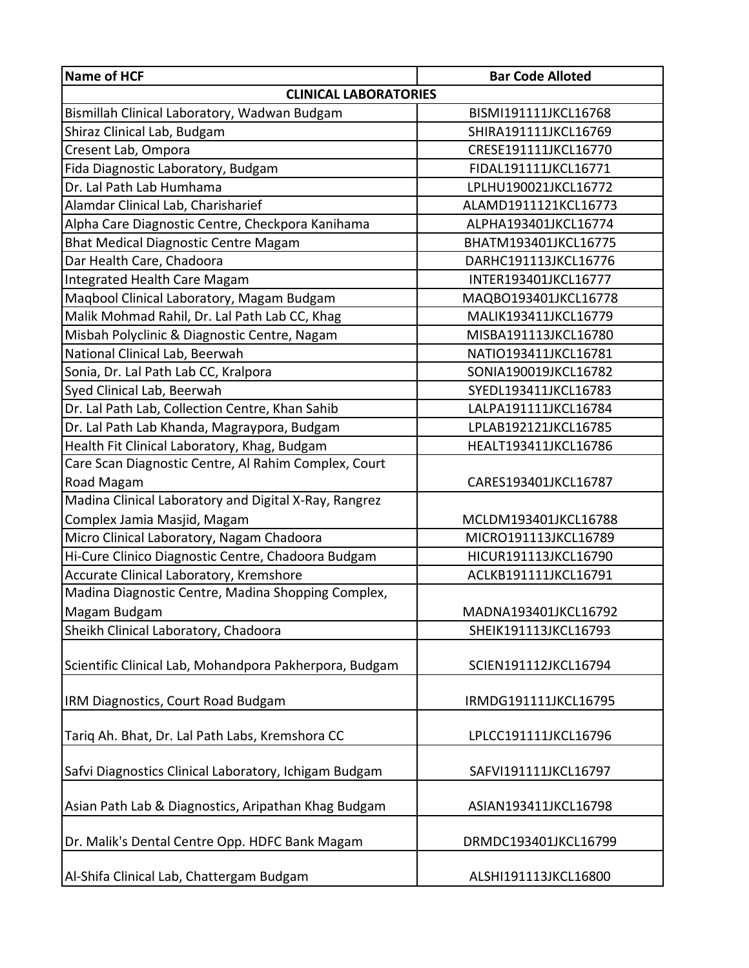| Name of HCF                                            | <b>Bar Code Alloted</b> |  |
|--------------------------------------------------------|-------------------------|--|
| <b>CLINICAL LABORATORIES</b>                           |                         |  |
| Bismillah Clinical Laboratory, Wadwan Budgam           | BISMI191111JKCL16768    |  |
| Shiraz Clinical Lab, Budgam                            | SHIRA191111JKCL16769    |  |
| Cresent Lab, Ompora                                    | CRESE191111JKCL16770    |  |
| Fida Diagnostic Laboratory, Budgam                     | FIDAL191111JKCL16771    |  |
| Dr. Lal Path Lab Humhama                               | LPLHU190021JKCL16772    |  |
| Alamdar Clinical Lab, Charisharief                     | ALAMD1911121KCL16773    |  |
| Alpha Care Diagnostic Centre, Checkpora Kanihama       | ALPHA193401JKCL16774    |  |
| Bhat Medical Diagnostic Centre Magam                   | BHATM193401JKCL16775    |  |
| Dar Health Care, Chadoora                              | DARHC191113JKCL16776    |  |
| Integrated Health Care Magam                           | INTER193401JKCL16777    |  |
| Maqbool Clinical Laboratory, Magam Budgam              | MAQBO193401JKCL16778    |  |
| Malik Mohmad Rahil, Dr. Lal Path Lab CC, Khag          | MALIK193411JKCL16779    |  |
| Misbah Polyclinic & Diagnostic Centre, Nagam           | MISBA191113JKCL16780    |  |
| National Clinical Lab, Beerwah                         | NATIO193411JKCL16781    |  |
| Sonia, Dr. Lal Path Lab CC, Kralpora                   | SONIA190019JKCL16782    |  |
| Syed Clinical Lab, Beerwah                             | SYEDL193411JKCL16783    |  |
| Dr. Lal Path Lab, Collection Centre, Khan Sahib        | LALPA191111JKCL16784    |  |
| Dr. Lal Path Lab Khanda, Magraypora, Budgam            | LPLAB192121JKCL16785    |  |
| Health Fit Clinical Laboratory, Khag, Budgam           | HEALT193411JKCL16786    |  |
| Care Scan Diagnostic Centre, Al Rahim Complex, Court   |                         |  |
| Road Magam                                             | CARES193401JKCL16787    |  |
| Madina Clinical Laboratory and Digital X-Ray, Rangrez  |                         |  |
| Complex Jamia Masjid, Magam                            | MCLDM193401JKCL16788    |  |
| Micro Clinical Laboratory, Nagam Chadoora              | MICRO191113JKCL16789    |  |
| Hi-Cure Clinico Diagnostic Centre, Chadoora Budgam     | HICUR191113JKCL16790    |  |
| Accurate Clinical Laboratory, Kremshore                | ACLKB191111JKCL16791    |  |
| Madina Diagnostic Centre, Madina Shopping Complex,     |                         |  |
| Magam Budgam                                           | MADNA193401JKCL16792    |  |
| Sheikh Clinical Laboratory, Chadoora                   | SHEIK191113JKCL16793    |  |
| Scientific Clinical Lab, Mohandpora Pakherpora, Budgam | SCIEN191112JKCL16794    |  |
| <b>IRM Diagnostics, Court Road Budgam</b>              | IRMDG191111JKCL16795    |  |
| Tariq Ah. Bhat, Dr. Lal Path Labs, Kremshora CC        | LPLCC191111JKCL16796    |  |
| Safvi Diagnostics Clinical Laboratory, Ichigam Budgam  | SAFVI191111JKCL16797    |  |
| Asian Path Lab & Diagnostics, Aripathan Khag Budgam    | ASIAN193411JKCL16798    |  |
| Dr. Malik's Dental Centre Opp. HDFC Bank Magam         | DRMDC193401JKCL16799    |  |
| Al-Shifa Clinical Lab, Chattergam Budgam               | ALSHI191113JKCL16800    |  |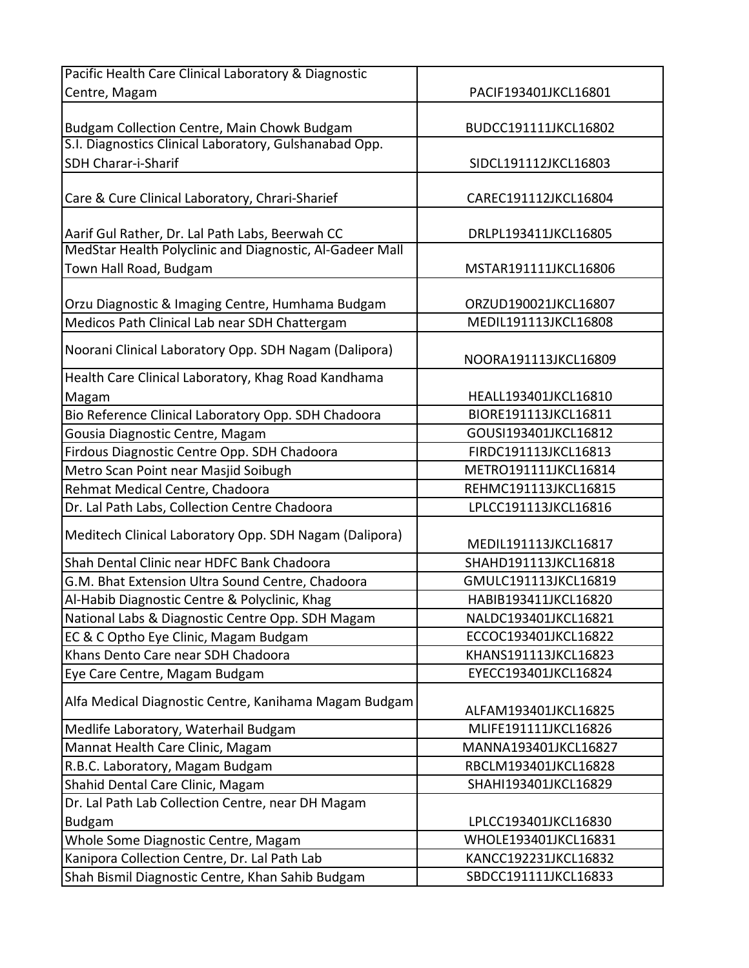| Centre, Magam<br>PACIF193401JKCL16801<br>Budgam Collection Centre, Main Chowk Budgam<br>BUDCC191111JKCL16802 |  |
|--------------------------------------------------------------------------------------------------------------|--|
|                                                                                                              |  |
|                                                                                                              |  |
|                                                                                                              |  |
| S.I. Diagnostics Clinical Laboratory, Gulshanabad Opp.                                                       |  |
| <b>SDH Charar-i-Sharif</b><br>SIDCL191112JKCL16803                                                           |  |
|                                                                                                              |  |
| Care & Cure Clinical Laboratory, Chrari-Sharief<br>CAREC191112JKCL16804                                      |  |
| Aarif Gul Rather, Dr. Lal Path Labs, Beerwah CC<br>DRLPL193411JKCL16805                                      |  |
| MedStar Health Polyclinic and Diagnostic, Al-Gadeer Mall                                                     |  |
| Town Hall Road, Budgam<br>MSTAR191111JKCL16806                                                               |  |
|                                                                                                              |  |
| Orzu Diagnostic & Imaging Centre, Humhama Budgam<br>ORZUD190021JKCL16807                                     |  |
| Medicos Path Clinical Lab near SDH Chattergam<br>MEDIL191113JKCL16808                                        |  |
|                                                                                                              |  |
| Noorani Clinical Laboratory Opp. SDH Nagam (Dalipora)<br>NOORA191113JKCL16809                                |  |
| Health Care Clinical Laboratory, Khag Road Kandhama                                                          |  |
| HEALL193401JKCL16810<br>Magam                                                                                |  |
| Bio Reference Clinical Laboratory Opp. SDH Chadoora<br>BIORE191113JKCL16811                                  |  |
| Gousia Diagnostic Centre, Magam<br>GOUSI193401JKCL16812                                                      |  |
| Firdous Diagnostic Centre Opp. SDH Chadoora<br>FIRDC191113JKCL16813                                          |  |
| Metro Scan Point near Masjid Soibugh<br>METRO191111JKCL16814                                                 |  |
| Rehmat Medical Centre, Chadoora<br>REHMC191113JKCL16815                                                      |  |
| Dr. Lal Path Labs, Collection Centre Chadoora<br>LPLCC191113JKCL16816                                        |  |
| Meditech Clinical Laboratory Opp. SDH Nagam (Dalipora)<br>MEDIL191113JKCL16817                               |  |
| Shah Dental Clinic near HDFC Bank Chadoora<br>SHAHD191113JKCL16818                                           |  |
| G.M. Bhat Extension Ultra Sound Centre, Chadoora<br>GMULC191113JKCL16819                                     |  |
| Al-Habib Diagnostic Centre & Polyclinic, Khag<br>HABIB193411JKCL16820                                        |  |
| National Labs & Diagnostic Centre Opp. SDH Magam<br>NALDC193401JKCL16821                                     |  |
| EC & C Optho Eye Clinic, Magam Budgam<br>ECCOC193401JKCL16822                                                |  |
| Khans Dento Care near SDH Chadoora<br>KHANS191113JKCL16823                                                   |  |
| Eye Care Centre, Magam Budgam<br>EYECC193401JKCL16824                                                        |  |
| Alfa Medical Diagnostic Centre, Kanihama Magam Budgam<br>ALFAM193401JKCL16825                                |  |
| Medlife Laboratory, Waterhail Budgam<br>MLIFE191111JKCL16826                                                 |  |
| Mannat Health Care Clinic, Magam<br>MANNA193401JKCL16827                                                     |  |
| R.B.C. Laboratory, Magam Budgam<br>RBCLM193401JKCL16828                                                      |  |
| Shahid Dental Care Clinic, Magam<br>SHAHI193401JKCL16829                                                     |  |
| Dr. Lal Path Lab Collection Centre, near DH Magam                                                            |  |
| LPLCC193401JKCL16830<br><b>Budgam</b>                                                                        |  |
| Whole Some Diagnostic Centre, Magam<br>WHOLE193401JKCL16831                                                  |  |
| Kanipora Collection Centre, Dr. Lal Path Lab<br>KANCC192231JKCL16832                                         |  |
| Shah Bismil Diagnostic Centre, Khan Sahib Budgam<br>SBDCC191111JKCL16833                                     |  |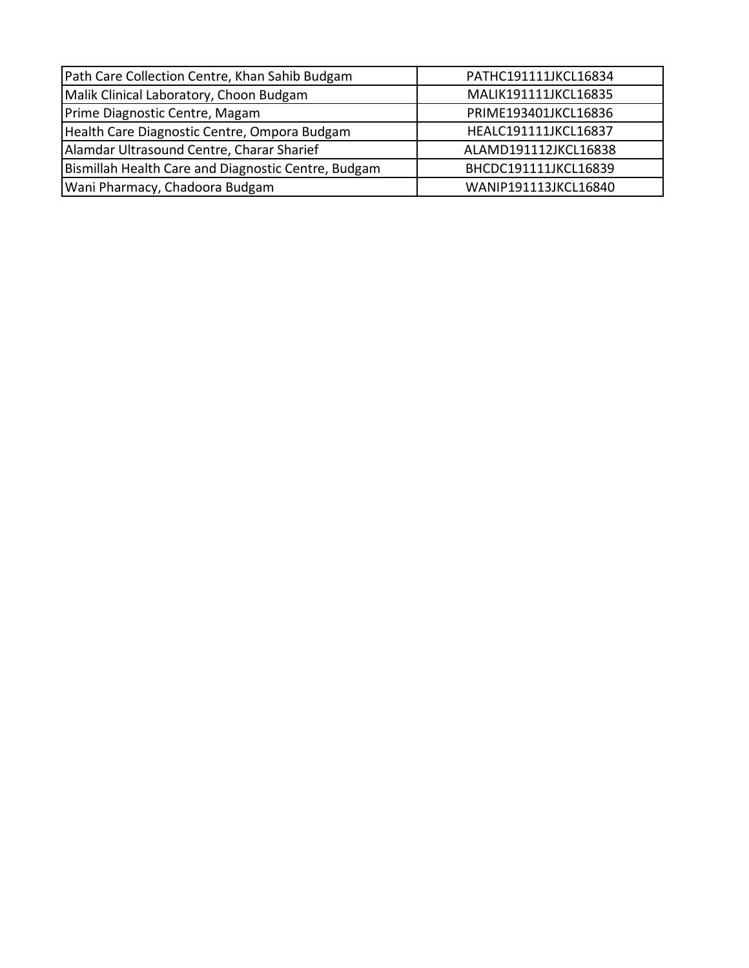| Path Care Collection Centre, Khan Sahib Budgam      | PATHC191111JKCL16834 |
|-----------------------------------------------------|----------------------|
| Malik Clinical Laboratory, Choon Budgam             | MALIK191111JKCL16835 |
| Prime Diagnostic Centre, Magam                      | PRIME193401JKCL16836 |
| Health Care Diagnostic Centre, Ompora Budgam        | HEALC191111JKCL16837 |
| Alamdar Ultrasound Centre, Charar Sharief           | ALAMD191112JKCL16838 |
| Bismillah Health Care and Diagnostic Centre, Budgam | BHCDC191111JKCL16839 |
| Wani Pharmacy, Chadoora Budgam                      | WANIP191113JKCL16840 |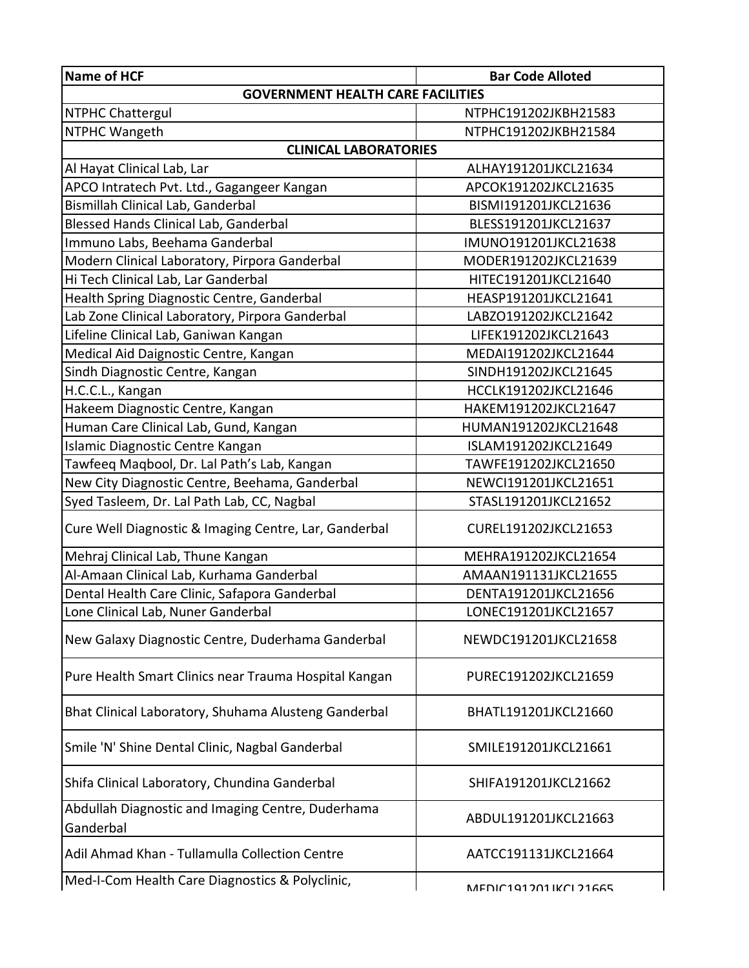| Name of HCF                                                    | <b>Bar Code Alloted</b> |  |
|----------------------------------------------------------------|-------------------------|--|
| <b>GOVERNMENT HEALTH CARE FACILITIES</b>                       |                         |  |
| <b>NTPHC Chattergul</b>                                        | NTPHC191202JKBH21583    |  |
| NTPHC Wangeth                                                  | NTPHC191202JKBH21584    |  |
| <b>CLINICAL LABORATORIES</b>                                   |                         |  |
| Al Hayat Clinical Lab, Lar                                     | ALHAY191201JKCL21634    |  |
| APCO Intratech Pvt. Ltd., Gagangeer Kangan                     | APCOK191202JKCL21635    |  |
| Bismillah Clinical Lab, Ganderbal                              | BISMI191201JKCL21636    |  |
| Blessed Hands Clinical Lab, Ganderbal                          | BLESS191201JKCL21637    |  |
| Immuno Labs, Beehama Ganderbal                                 | IMUNO191201JKCL21638    |  |
| Modern Clinical Laboratory, Pirpora Ganderbal                  | MODER191202JKCL21639    |  |
| Hi Tech Clinical Lab, Lar Ganderbal                            | HITEC191201JKCL21640    |  |
| Health Spring Diagnostic Centre, Ganderbal                     | HEASP191201JKCL21641    |  |
| Lab Zone Clinical Laboratory, Pirpora Ganderbal                | LABZO191202JKCL21642    |  |
| Lifeline Clinical Lab, Ganiwan Kangan                          | LIFEK191202JKCL21643    |  |
| Medical Aid Daignostic Centre, Kangan                          | MEDAI191202JKCL21644    |  |
| Sindh Diagnostic Centre, Kangan                                | SINDH191202JKCL21645    |  |
| H.C.C.L., Kangan                                               | HCCLK191202JKCL21646    |  |
| Hakeem Diagnostic Centre, Kangan                               | HAKEM191202JKCL21647    |  |
| Human Care Clinical Lab, Gund, Kangan                          | HUMAN191202JKCL21648    |  |
| Islamic Diagnostic Centre Kangan                               | ISLAM191202JKCL21649    |  |
| Tawfeeq Maqbool, Dr. Lal Path's Lab, Kangan                    | TAWFE191202JKCL21650    |  |
| New City Diagnostic Centre, Beehama, Ganderbal                 | NEWCI191201JKCL21651    |  |
| Syed Tasleem, Dr. Lal Path Lab, CC, Nagbal                     | STASL191201JKCL21652    |  |
| Cure Well Diagnostic & Imaging Centre, Lar, Ganderbal          | CUREL191202JKCL21653    |  |
| Mehraj Clinical Lab, Thune Kangan                              | MEHRA191202JKCL21654    |  |
| Al-Amaan Clinical Lab, Kurhama Ganderbal                       | AMAAN191131JKCL21655    |  |
| Dental Health Care Clinic, Safapora Ganderbal                  | DENTA191201JKCL21656    |  |
| Lone Clinical Lab, Nuner Ganderbal                             | LONEC191201JKCL21657    |  |
| New Galaxy Diagnostic Centre, Duderhama Ganderbal              | NEWDC191201JKCL21658    |  |
| Pure Health Smart Clinics near Trauma Hospital Kangan          | PUREC191202JKCL21659    |  |
| Bhat Clinical Laboratory, Shuhama Alusteng Ganderbal           | BHATL191201JKCL21660    |  |
| Smile 'N' Shine Dental Clinic, Nagbal Ganderbal                | SMILE191201JKCL21661    |  |
| Shifa Clinical Laboratory, Chundina Ganderbal                  | SHIFA191201JKCL21662    |  |
| Abdullah Diagnostic and Imaging Centre, Duderhama<br>Ganderbal | ABDUL191201JKCL21663    |  |
| Adil Ahmad Khan - Tullamulla Collection Centre                 | AATCC191131JKCL21664    |  |
| Med-I-Com Health Care Diagnostics & Polyclinic,                | MENIC1017N1 IKCI 71 AS  |  |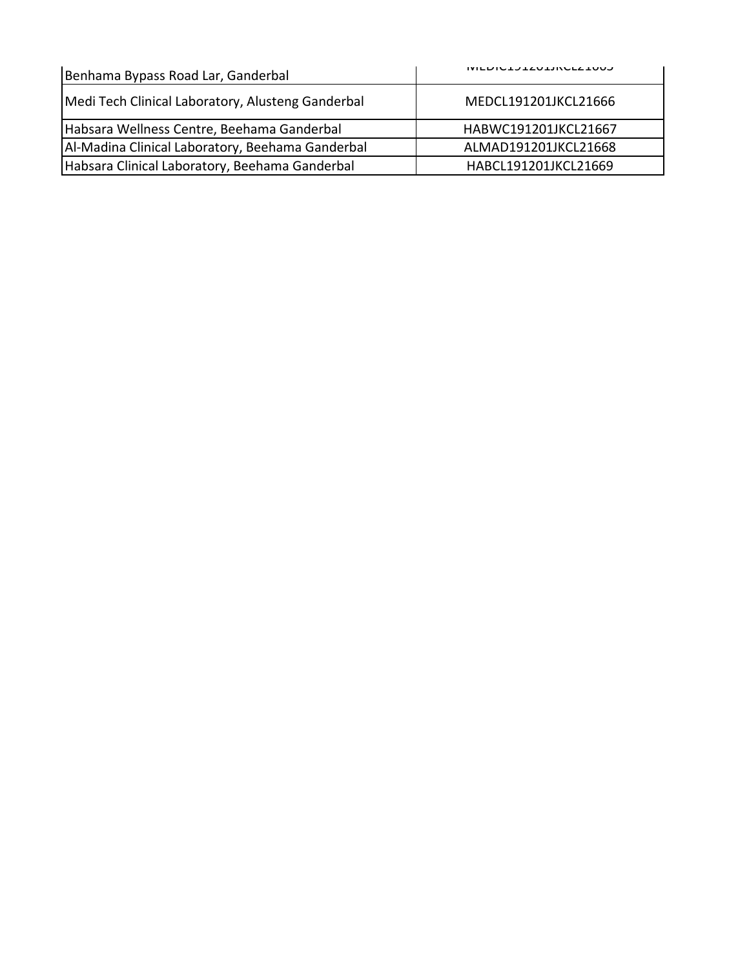| Benhama Bypass Road Lar, Ganderbal                | <b>INILDICIJIZUIJINULLIUUJ</b> |
|---------------------------------------------------|--------------------------------|
| Medi Tech Clinical Laboratory, Alusteng Ganderbal | MEDCL191201JKCL21666           |
| Habsara Wellness Centre, Beehama Ganderbal        | HABWC191201JKCL21667           |
| Al-Madina Clinical Laboratory, Beehama Ganderbal  | ALMAD191201JKCL21668           |
| Habsara Clinical Laboratory, Beehama Ganderbal    | HABCL191201JKCL21669           |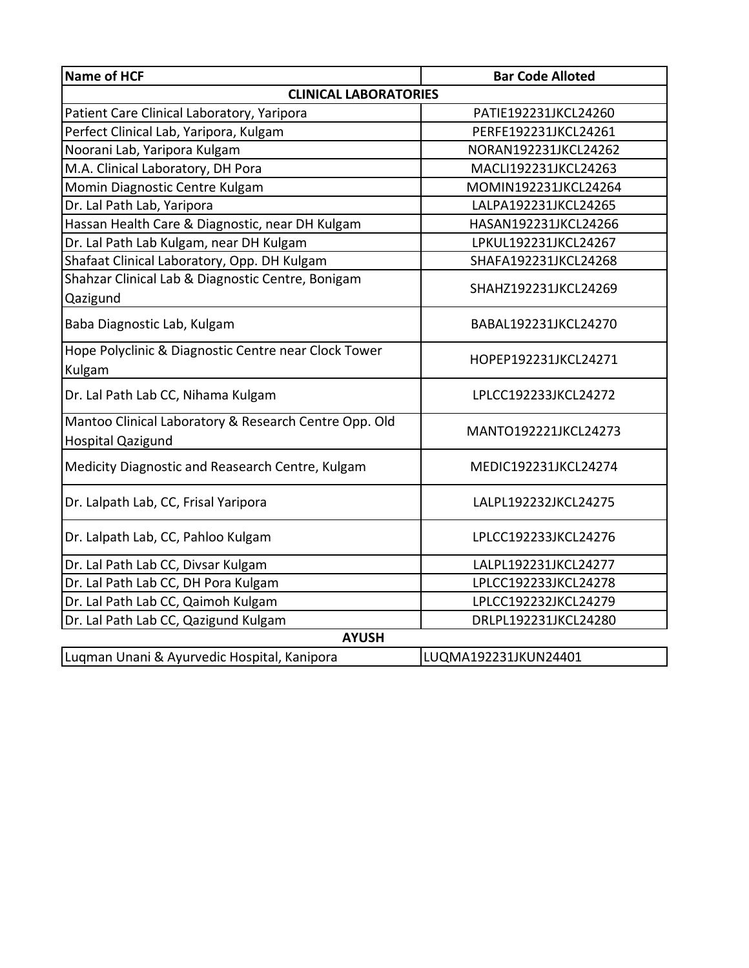| <b>Name of HCF</b>                                                                | <b>Bar Code Alloted</b> |  |
|-----------------------------------------------------------------------------------|-------------------------|--|
| <b>CLINICAL LABORATORIES</b>                                                      |                         |  |
| Patient Care Clinical Laboratory, Yaripora                                        | PATIE192231JKCL24260    |  |
| Perfect Clinical Lab, Yaripora, Kulgam                                            | PERFE192231JKCL24261    |  |
| Noorani Lab, Yaripora Kulgam                                                      | NORAN192231JKCL24262    |  |
| M.A. Clinical Laboratory, DH Pora                                                 | MACLI192231JKCL24263    |  |
| Momin Diagnostic Centre Kulgam                                                    | MOMIN192231JKCL24264    |  |
| Dr. Lal Path Lab, Yaripora                                                        | LALPA192231JKCL24265    |  |
| Hassan Health Care & Diagnostic, near DH Kulgam                                   | HASAN192231JKCL24266    |  |
| Dr. Lal Path Lab Kulgam, near DH Kulgam                                           | LPKUL192231JKCL24267    |  |
| Shafaat Clinical Laboratory, Opp. DH Kulgam                                       | SHAFA192231JKCL24268    |  |
| Shahzar Clinical Lab & Diagnostic Centre, Bonigam<br>Qazigund                     | SHAHZ192231JKCL24269    |  |
| Baba Diagnostic Lab, Kulgam                                                       | BABAL192231JKCL24270    |  |
| Hope Polyclinic & Diagnostic Centre near Clock Tower<br>Kulgam                    | HOPEP192231JKCL24271    |  |
| Dr. Lal Path Lab CC, Nihama Kulgam                                                | LPLCC192233JKCL24272    |  |
| Mantoo Clinical Laboratory & Research Centre Opp. Old<br><b>Hospital Qazigund</b> | MANTO192221JKCL24273    |  |
| Medicity Diagnostic and Reasearch Centre, Kulgam                                  | MEDIC192231JKCL24274    |  |
| Dr. Lalpath Lab, CC, Frisal Yaripora                                              | LALPL192232JKCL24275    |  |
| Dr. Lalpath Lab, CC, Pahloo Kulgam                                                | LPLCC192233JKCL24276    |  |
| Dr. Lal Path Lab CC, Divsar Kulgam                                                | LALPL192231JKCL24277    |  |
| Dr. Lal Path Lab CC, DH Pora Kulgam                                               | LPLCC192233JKCL24278    |  |
| Dr. Lal Path Lab CC, Qaimoh Kulgam                                                | LPLCC192232JKCL24279    |  |
| Dr. Lal Path Lab CC, Qazigund Kulgam                                              | DRLPL192231JKCL24280    |  |
| <b>AYUSH</b>                                                                      |                         |  |
| Luqman Unani & Ayurvedic Hospital, Kanipora                                       | LUQMA192231JKUN24401    |  |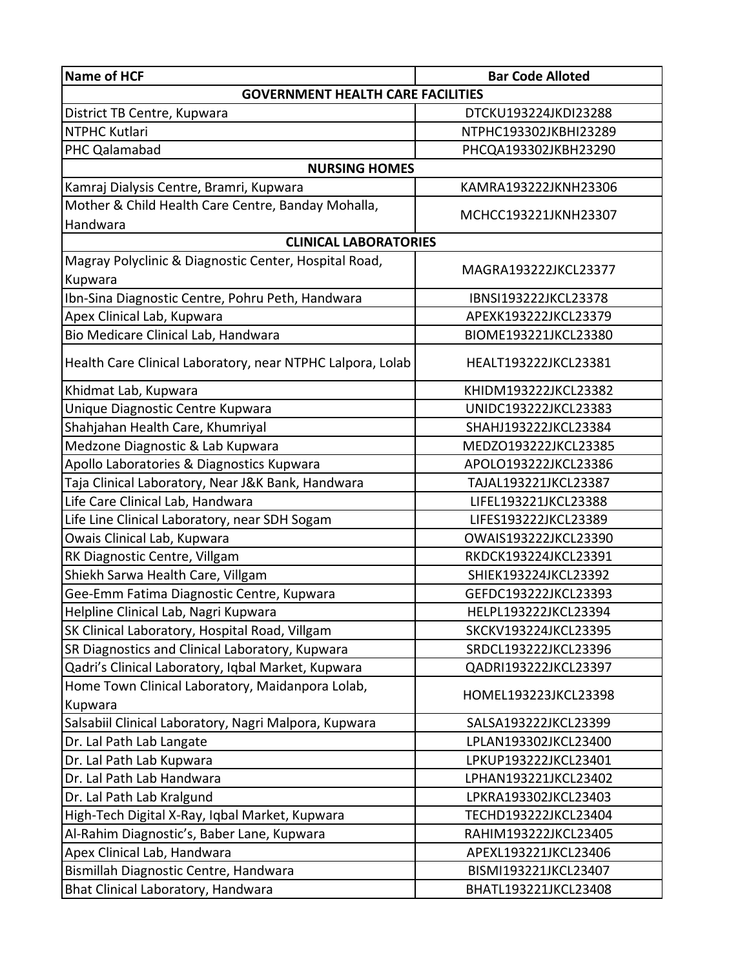| Name of HCF                                                | <b>Bar Code Alloted</b> |  |
|------------------------------------------------------------|-------------------------|--|
| <b>GOVERNMENT HEALTH CARE FACILITIES</b>                   |                         |  |
| District TB Centre, Kupwara                                | DTCKU193224JKDI23288    |  |
| NTPHC Kutlari                                              | NTPHC193302JKBHI23289   |  |
| PHC Qalamabad                                              | PHCQA193302JKBH23290    |  |
| <b>NURSING HOMES</b>                                       |                         |  |
| Kamraj Dialysis Centre, Bramri, Kupwara                    | KAMRA193222JKNH23306    |  |
| Mother & Child Health Care Centre, Banday Mohalla,         |                         |  |
| Handwara                                                   | MCHCC193221JKNH23307    |  |
| <b>CLINICAL LABORATORIES</b>                               |                         |  |
| Magray Polyclinic & Diagnostic Center, Hospital Road,      | MAGRA193222JKCL23377    |  |
| Kupwara                                                    |                         |  |
| Ibn-Sina Diagnostic Centre, Pohru Peth, Handwara           | IBNSI193222JKCL23378    |  |
| Apex Clinical Lab, Kupwara                                 | APEXK193222JKCL23379    |  |
| Bio Medicare Clinical Lab, Handwara                        | BIOME193221JKCL23380    |  |
| Health Care Clinical Laboratory, near NTPHC Lalpora, Lolab | HEALT193222JKCL23381    |  |
| Khidmat Lab, Kupwara                                       | KHIDM193222JKCL23382    |  |
| Unique Diagnostic Centre Kupwara                           | UNIDC193222JKCL23383    |  |
| Shahjahan Health Care, Khumriyal                           | SHAHJ193222JKCL23384    |  |
| Medzone Diagnostic & Lab Kupwara                           | MEDZO193222JKCL23385    |  |
| Apollo Laboratories & Diagnostics Kupwara                  | APOLO193222JKCL23386    |  |
| Taja Clinical Laboratory, Near J&K Bank, Handwara          | TAJAL193221JKCL23387    |  |
| Life Care Clinical Lab, Handwara                           | LIFEL193221JKCL23388    |  |
| Life Line Clinical Laboratory, near SDH Sogam              | LIFES193222JKCL23389    |  |
| Owais Clinical Lab, Kupwara                                | OWAIS193222JKCL23390    |  |
| RK Diagnostic Centre, Villgam                              | RKDCK193224JKCL23391    |  |
| Shiekh Sarwa Health Care, Villgam                          | SHIEK193224JKCL23392    |  |
| Gee-Emm Fatima Diagnostic Centre, Kupwara                  | GEFDC193222JKCL23393    |  |
| Helpline Clinical Lab, Nagri Kupwara                       | HELPL193222JKCL23394    |  |
| SK Clinical Laboratory, Hospital Road, Villgam             | SKCKV193224JKCL23395    |  |
| SR Diagnostics and Clinical Laboratory, Kupwara            | SRDCL193222JKCL23396    |  |
| Qadri's Clinical Laboratory, Iqbal Market, Kupwara         | QADRI193222JKCL23397    |  |
| Home Town Clinical Laboratory, Maidanpora Lolab,           | HOMEL193223JKCL23398    |  |
| Kupwara                                                    |                         |  |
| Salsabiil Clinical Laboratory, Nagri Malpora, Kupwara      | SALSA193222JKCL23399    |  |
| Dr. Lal Path Lab Langate                                   | LPLAN193302JKCL23400    |  |
| Dr. Lal Path Lab Kupwara                                   | LPKUP193222JKCL23401    |  |
| Dr. Lal Path Lab Handwara                                  | LPHAN193221JKCL23402    |  |
| Dr. Lal Path Lab Kralgund                                  | LPKRA193302JKCL23403    |  |
| High-Tech Digital X-Ray, Iqbal Market, Kupwara             | TECHD193222JKCL23404    |  |
| Al-Rahim Diagnostic's, Baber Lane, Kupwara                 | RAHIM193222JKCL23405    |  |
| Apex Clinical Lab, Handwara                                | APEXL193221JKCL23406    |  |
| Bismillah Diagnostic Centre, Handwara                      | BISMI193221JKCL23407    |  |
| Bhat Clinical Laboratory, Handwara                         | BHATL193221JKCL23408    |  |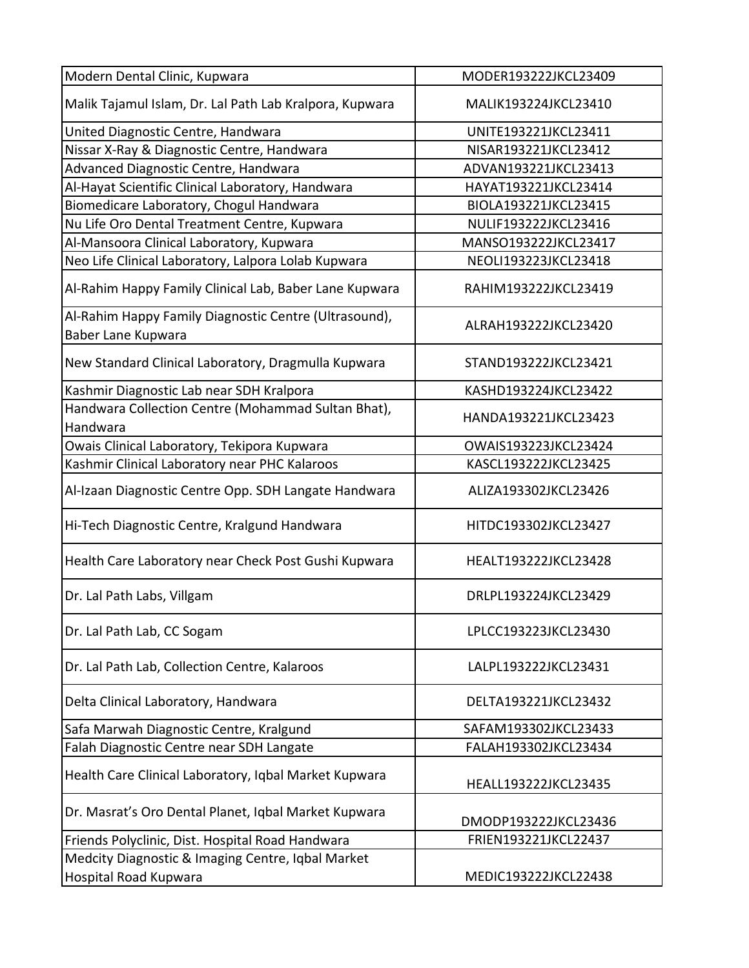| Modern Dental Clinic, Kupwara                                               | MODER193222JKCL23409 |
|-----------------------------------------------------------------------------|----------------------|
| Malik Tajamul Islam, Dr. Lal Path Lab Kralpora, Kupwara                     | MALIK193224JKCL23410 |
| United Diagnostic Centre, Handwara                                          | UNITE193221JKCL23411 |
| Nissar X-Ray & Diagnostic Centre, Handwara                                  | NISAR193221JKCL23412 |
| Advanced Diagnostic Centre, Handwara                                        | ADVAN193221JKCL23413 |
| Al-Hayat Scientific Clinical Laboratory, Handwara                           | HAYAT193221JKCL23414 |
| Biomedicare Laboratory, Chogul Handwara                                     | BIOLA193221JKCL23415 |
| Nu Life Oro Dental Treatment Centre, Kupwara                                | NULIF193222JKCL23416 |
| Al-Mansoora Clinical Laboratory, Kupwara                                    | MANSO193222JKCL23417 |
| Neo Life Clinical Laboratory, Lalpora Lolab Kupwara                         | NEOLI193223JKCL23418 |
| Al-Rahim Happy Family Clinical Lab, Baber Lane Kupwara                      | RAHIM193222JKCL23419 |
| Al-Rahim Happy Family Diagnostic Centre (Ultrasound),<br>Baber Lane Kupwara | ALRAH193222JKCL23420 |
| New Standard Clinical Laboratory, Dragmulla Kupwara                         | STAND193222JKCL23421 |
| Kashmir Diagnostic Lab near SDH Kralpora                                    | KASHD193224JKCL23422 |
| Handwara Collection Centre (Mohammad Sultan Bhat),<br>Handwara              | HANDA193221JKCL23423 |
| Owais Clinical Laboratory, Tekipora Kupwara                                 | OWAIS193223JKCL23424 |
| Kashmir Clinical Laboratory near PHC Kalaroos                               | KASCL193222JKCL23425 |
| Al-Izaan Diagnostic Centre Opp. SDH Langate Handwara                        | ALIZA193302JKCL23426 |
| Hi-Tech Diagnostic Centre, Kralgund Handwara                                | HITDC193302JKCL23427 |
| Health Care Laboratory near Check Post Gushi Kupwara                        | HEALT193222JKCL23428 |
| Dr. Lal Path Labs, Villgam                                                  | DRLPL193224JKCL23429 |
| Dr. Lal Path Lab, CC Sogam                                                  | LPLCC193223JKCL23430 |
| Dr. Lal Path Lab, Collection Centre, Kalaroos                               | LALPL193222JKCL23431 |
| Delta Clinical Laboratory, Handwara                                         | DELTA193221JKCL23432 |
| Safa Marwah Diagnostic Centre, Kralgund                                     | SAFAM193302JKCL23433 |
| Falah Diagnostic Centre near SDH Langate                                    | FALAH193302JKCL23434 |
| Health Care Clinical Laboratory, Iqbal Market Kupwara                       | HEALL193222JKCL23435 |
| Dr. Masrat's Oro Dental Planet, Iqbal Market Kupwara                        | DMODP193222JKCL23436 |
| Friends Polyclinic, Dist. Hospital Road Handwara                            | FRIEN193221JKCL22437 |
| Medcity Diagnostic & Imaging Centre, Iqbal Market                           |                      |
| Hospital Road Kupwara                                                       | MEDIC193222JKCL22438 |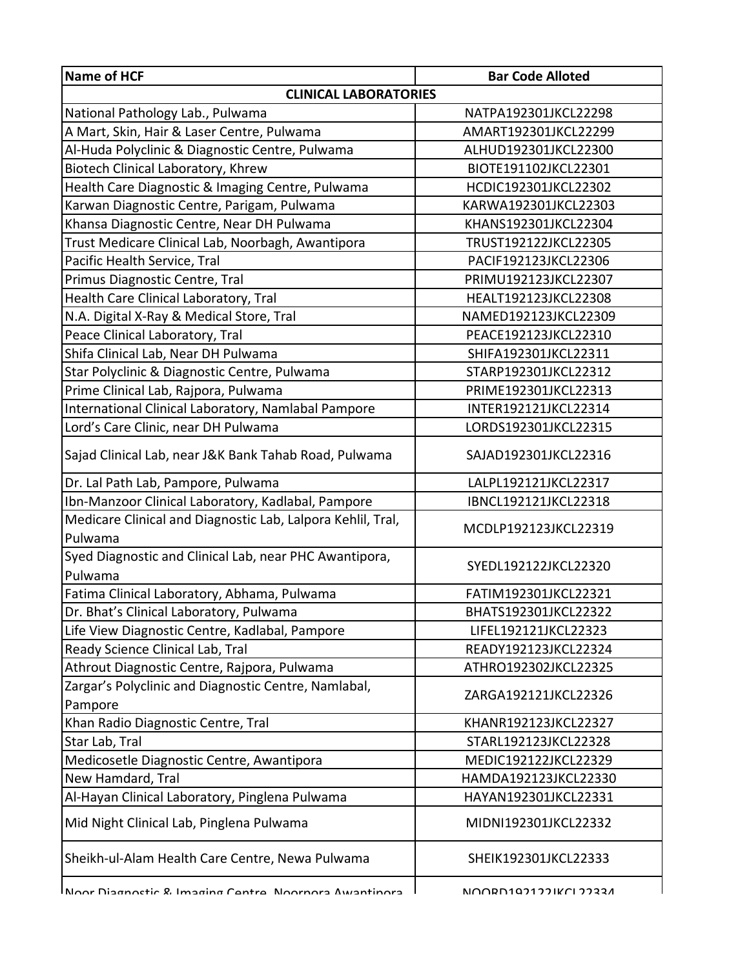| Name of HCF                                                 | <b>Bar Code Alloted</b> |  |
|-------------------------------------------------------------|-------------------------|--|
| <b>CLINICAL LABORATORIES</b>                                |                         |  |
| National Pathology Lab., Pulwama                            | NATPA192301JKCL22298    |  |
| A Mart, Skin, Hair & Laser Centre, Pulwama                  | AMART192301JKCL22299    |  |
| Al-Huda Polyclinic & Diagnostic Centre, Pulwama             | ALHUD192301JKCL22300    |  |
| Biotech Clinical Laboratory, Khrew                          | BIOTE191102JKCL22301    |  |
| Health Care Diagnostic & Imaging Centre, Pulwama            | HCDIC192301JKCL22302    |  |
| Karwan Diagnostic Centre, Parigam, Pulwama                  | KARWA192301JKCL22303    |  |
| Khansa Diagnostic Centre, Near DH Pulwama                   | KHANS192301JKCL22304    |  |
| Trust Medicare Clinical Lab, Noorbagh, Awantipora           | TRUST192122JKCL22305    |  |
| Pacific Health Service, Tral                                | PACIF192123JKCL22306    |  |
| Primus Diagnostic Centre, Tral                              | PRIMU192123JKCL22307    |  |
| Health Care Clinical Laboratory, Tral                       | HEALT192123JKCL22308    |  |
| N.A. Digital X-Ray & Medical Store, Tral                    | NAMED192123JKCL22309    |  |
| Peace Clinical Laboratory, Tral                             | PEACE192123JKCL22310    |  |
| Shifa Clinical Lab, Near DH Pulwama                         | SHIFA192301JKCL22311    |  |
| Star Polyclinic & Diagnostic Centre, Pulwama                | STARP192301JKCL22312    |  |
| Prime Clinical Lab, Rajpora, Pulwama                        | PRIME192301JKCL22313    |  |
| International Clinical Laboratory, Namlabal Pampore         | INTER192121JKCL22314    |  |
| Lord's Care Clinic, near DH Pulwama                         | LORDS192301JKCL22315    |  |
| Sajad Clinical Lab, near J&K Bank Tahab Road, Pulwama       | SAJAD192301JKCL22316    |  |
| Dr. Lal Path Lab, Pampore, Pulwama                          | LALPL192121JKCL22317    |  |
| Ibn-Manzoor Clinical Laboratory, Kadlabal, Pampore          | IBNCL192121JKCL22318    |  |
| Medicare Clinical and Diagnostic Lab, Lalpora Kehlil, Tral, | MCDLP192123JKCL22319    |  |
| Pulwama                                                     |                         |  |
| Syed Diagnostic and Clinical Lab, near PHC Awantipora,      | SYEDL192122JKCL22320    |  |
| Pulwama                                                     |                         |  |
| Fatima Clinical Laboratory, Abhama, Pulwama                 | FATIM192301JKCL22321    |  |
| Dr. Bhat's Clinical Laboratory, Pulwama                     | BHATS192301JKCL22322    |  |
| Life View Diagnostic Centre, Kadlabal, Pampore              | LIFEL192121JKCL22323    |  |
| Ready Science Clinical Lab, Tral                            | READY192123JKCL22324    |  |
| Athrout Diagnostic Centre, Rajpora, Pulwama                 | ATHRO192302JKCL22325    |  |
| Zargar's Polyclinic and Diagnostic Centre, Namlabal,        | ZARGA192121JKCL22326    |  |
| Pampore                                                     |                         |  |
| Khan Radio Diagnostic Centre, Tral                          | KHANR192123JKCL22327    |  |
| Star Lab, Tral                                              | STARL192123JKCL22328    |  |
| Medicosetle Diagnostic Centre, Awantipora                   | MEDIC192122JKCL22329    |  |
| New Hamdard, Tral                                           | HAMDA192123JKCL22330    |  |
| Al-Hayan Clinical Laboratory, Pinglena Pulwama              | HAYAN192301JKCL22331    |  |
| Mid Night Clinical Lab, Pinglena Pulwama                    | MIDNI192301JKCL22332    |  |
| Sheikh-ul-Alam Health Care Centre, Newa Pulwama             | SHEIK192301JKCL22333    |  |
| Noor Diagnostic & Imaging Cantra Noornora Awantinora        | NINNR 11071771KN 177221 |  |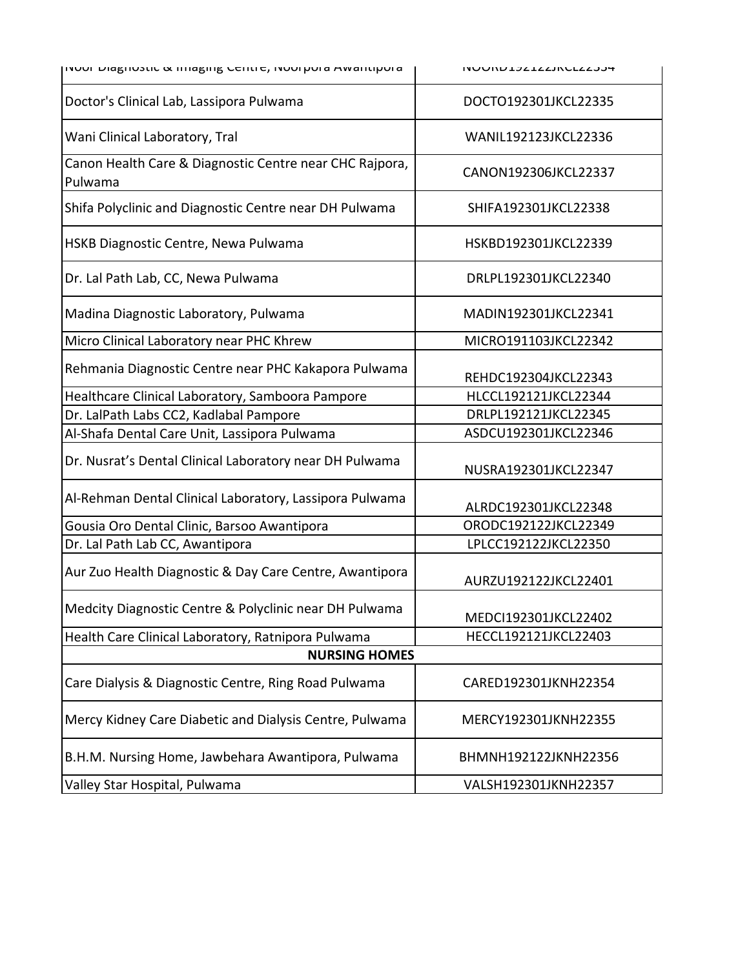| $\overline{\text{p}}$ ויטטו בומצווטאנוט מ $\overline{\text{p}}$ וווומצוווצ ככוונו $\overline{\text{c}}$ וויטטו מ $\overline{\text{p}}$ וווואסוונו | <b>INUURUIJZILAJINULAAJJ4</b> |
|---------------------------------------------------------------------------------------------------------------------------------------------------|-------------------------------|
| Doctor's Clinical Lab, Lassipora Pulwama                                                                                                          | DOCTO192301JKCL22335          |
| Wani Clinical Laboratory, Tral                                                                                                                    | WANIL192123JKCL22336          |
| Canon Health Care & Diagnostic Centre near CHC Rajpora,<br>Pulwama                                                                                | CANON192306JKCL22337          |
| Shifa Polyclinic and Diagnostic Centre near DH Pulwama                                                                                            | SHIFA192301JKCL22338          |
| HSKB Diagnostic Centre, Newa Pulwama                                                                                                              | HSKBD192301JKCL22339          |
| Dr. Lal Path Lab, CC, Newa Pulwama                                                                                                                | DRLPL192301JKCL22340          |
| Madina Diagnostic Laboratory, Pulwama                                                                                                             | MADIN192301JKCL22341          |
| Micro Clinical Laboratory near PHC Khrew                                                                                                          | MICRO191103JKCL22342          |
| Rehmania Diagnostic Centre near PHC Kakapora Pulwama                                                                                              | REHDC192304JKCL22343          |
| Healthcare Clinical Laboratory, Samboora Pampore                                                                                                  | HLCCL192121JKCL22344          |
| Dr. LalPath Labs CC2, Kadlabal Pampore                                                                                                            | DRLPL192121JKCL22345          |
| Al-Shafa Dental Care Unit, Lassipora Pulwama                                                                                                      | ASDCU192301JKCL22346          |
| Dr. Nusrat's Dental Clinical Laboratory near DH Pulwama                                                                                           | NUSRA192301JKCL22347          |
| Al-Rehman Dental Clinical Laboratory, Lassipora Pulwama                                                                                           | ALRDC192301JKCL22348          |
| Gousia Oro Dental Clinic, Barsoo Awantipora                                                                                                       | ORODC192122JKCL22349          |
| Dr. Lal Path Lab CC, Awantipora                                                                                                                   | LPLCC192122JKCL22350          |
| Aur Zuo Health Diagnostic & Day Care Centre, Awantipora                                                                                           | AURZU192122JKCL22401          |
| Medcity Diagnostic Centre & Polyclinic near DH Pulwama                                                                                            | MEDCI192301JKCL22402          |
| Health Care Clinical Laboratory, Ratnipora Pulwama                                                                                                | HECCL192121JKCL22403          |
| <b>NURSING HOMES</b>                                                                                                                              |                               |
| Care Dialysis & Diagnostic Centre, Ring Road Pulwama                                                                                              | CARED192301JKNH22354          |
| Mercy Kidney Care Diabetic and Dialysis Centre, Pulwama                                                                                           | MERCY192301JKNH22355          |
| B.H.M. Nursing Home, Jawbehara Awantipora, Pulwama                                                                                                | BHMNH192122JKNH22356          |
| Valley Star Hospital, Pulwama                                                                                                                     | VALSH192301JKNH22357          |